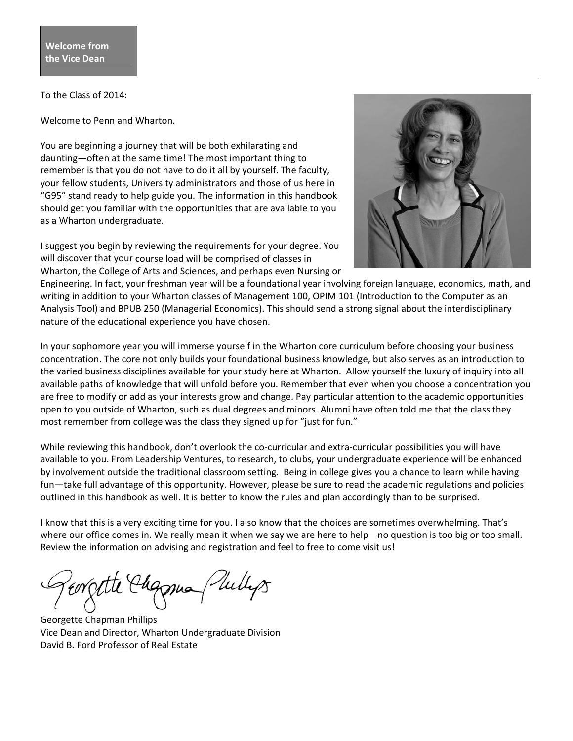To the Class of 2014:

Welcome to Penn and Wharton.

You are beginning a journey that will be both exhilarating and daunting—often at the same time! The most important thing to remember is that you do not have to do it all by yourself. The faculty, your fellow students, University administrators and those of us here in "G95" stand ready to help guide you. The information in this handbook should get you familiar with the opportunities that are available to you as a Wharton undergraduate.

I suggest you begin by reviewing the requirements for your degree. You will discover that your course load will be comprised of classes in Wharton, the College of Arts and Sciences, and perhaps even Nursing or



Engineering. In fact, your freshman year will be a foundational year involving foreign language, economics, math, and writing in addition to your Wharton classes of Management 100, OPIM 101 (Introduction to the Computer as an Analysis Tool) and BPUB 250 (Managerial Economics). This should send a strong signal about the interdisciplinary nature of the educational experience you have chosen.

In your sophomore year you will immerse yourself in the Wharton core curriculum before choosing your business concentration. The core not only builds your foundational business knowledge, but also serves as an introduction to the varied business disciplines available for your study here at Wharton. Allow yourself the luxury of inquiry into all available paths of knowledge that will unfold before you. Remember that even when you choose a concentration you are free to modify or add as your interests grow and change. Pay particular attention to the academic opportunities open to you outside of Wharton, such as dual degrees and minors. Alumni have often told me that the class they most remember from college was the class they signed up for "just for fun."

While reviewing this handbook, don't overlook the co-curricular and extra-curricular possibilities you will have available to you. From Leadership Ventures, to research, to clubs, your undergraduate experience will be enhanced by involvement outside the traditional classroom setting. Being in college gives you a chance to learn while having fun—take full advantage of this opportunity. However, please be sure to read the academic regulations and policies outlined in this handbook as well. It is better to know the rules and plan accordingly than to be surprised.

I know that this is a very exciting time for you. I also know that the choices are sometimes overwhelming. That's where our office comes in. We really mean it when we say we are here to help—no question is too big or too small. Review the information on advising and registration and feel to free to come visit us!

Eorgette Chapman (Julleps

Georgette Chapman Phillips Vice Dean and Director, Wharton Undergraduate Division David B. Ford Professor of Real Estate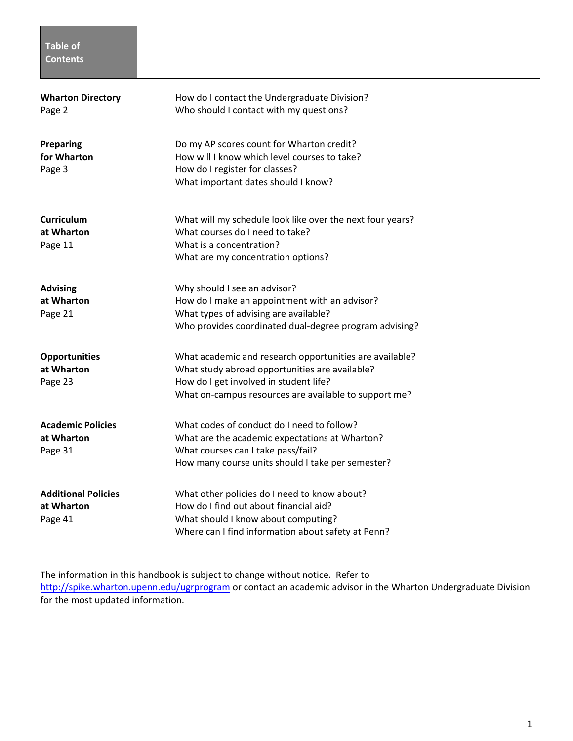# **Table of Contents**

| <b>Wharton Directory</b><br>Page 2                  | How do I contact the Undergraduate Division?<br>Who should I contact with my questions?                                                                                                                      |
|-----------------------------------------------------|--------------------------------------------------------------------------------------------------------------------------------------------------------------------------------------------------------------|
| <b>Preparing</b><br>for Wharton<br>Page 3           | Do my AP scores count for Wharton credit?<br>How will I know which level courses to take?<br>How do I register for classes?<br>What important dates should I know?                                           |
| Curriculum<br>at Wharton<br>Page 11                 | What will my schedule look like over the next four years?<br>What courses do I need to take?<br>What is a concentration?<br>What are my concentration options?                                               |
| <b>Advising</b><br>at Wharton<br>Page 21            | Why should I see an advisor?<br>How do I make an appointment with an advisor?<br>What types of advising are available?<br>Who provides coordinated dual-degree program advising?                             |
| <b>Opportunities</b><br>at Wharton<br>Page 23       | What academic and research opportunities are available?<br>What study abroad opportunities are available?<br>How do I get involved in student life?<br>What on-campus resources are available to support me? |
| <b>Academic Policies</b><br>at Wharton<br>Page 31   | What codes of conduct do I need to follow?<br>What are the academic expectations at Wharton?<br>What courses can I take pass/fail?<br>How many course units should I take per semester?                      |
| <b>Additional Policies</b><br>at Wharton<br>Page 41 | What other policies do I need to know about?<br>How do I find out about financial aid?<br>What should I know about computing?<br>Where can I find information about safety at Penn?                          |

The information in this handbook is subject to change without notice. Refer to http://spike.wharton.upenn.edu/ugrprogram or contact an academic advisor in the Wharton Undergraduate Division for the most updated information.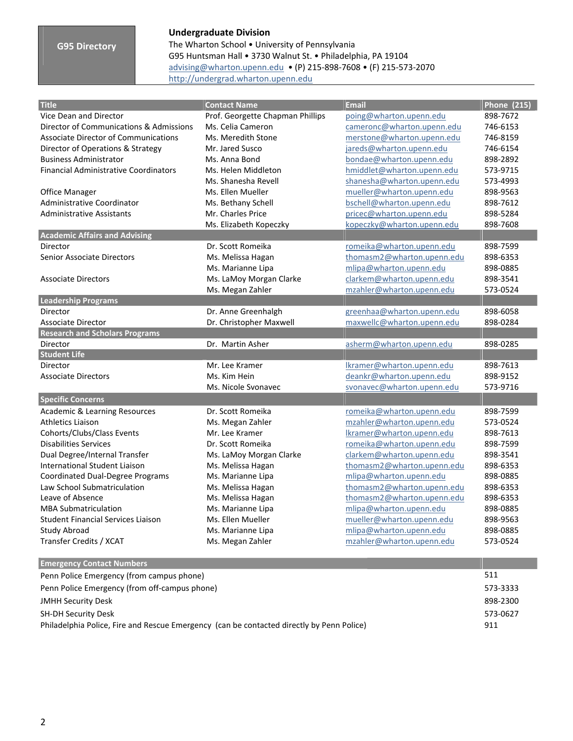## **G95 Directory**

### **Undergraduate Division**

The Wharton School • University of Pennsylvania G95 Huntsman Hall • 3730 Walnut St. • Philadelphia, PA 19104 advising@wharton.upenn.edu • (P) 215‐898‐7608 • (F) 215‐573‐2070 http://undergrad.wharton.upenn.edu

| <b>Title</b>                                 | <b>Contact Name</b>              | <b>Email</b>               | <b>Phone (215)</b> |
|----------------------------------------------|----------------------------------|----------------------------|--------------------|
| Vice Dean and Director                       | Prof. Georgette Chapman Phillips | poing@wharton.upenn.edu    | 898-7672           |
| Director of Communications & Admissions      | Ms. Celia Cameron                | cameronc@wharton.upenn.edu | 746-6153           |
| <b>Associate Director of Communications</b>  | Ms. Meredith Stone               | merstone@wharton.upenn.edu | 746-8159           |
| Director of Operations & Strategy            | Mr. Jared Susco                  | jareds@wharton.upenn.edu   | 746-6154           |
| <b>Business Administrator</b>                | Ms. Anna Bond                    | bondae@wharton.upenn.edu   | 898-2892           |
| <b>Financial Administrative Coordinators</b> | Ms. Helen Middleton              | hmiddlet@wharton.upenn.edu | 573-9715           |
|                                              | Ms. Shanesha Revell              | shanesha@wharton.upenn.edu | 573-4993           |
| Office Manager                               | Ms. Ellen Mueller                | mueller@wharton.upenn.edu  | 898-9563           |
| Administrative Coordinator                   | Ms. Bethany Schell               | bschell@wharton.upenn.edu  | 898-7612           |
| <b>Administrative Assistants</b>             | Mr. Charles Price                | pricec@wharton.upenn.edu   | 898-5284           |
|                                              | Ms. Elizabeth Kopeczky           | kopeczky@wharton.upenn.edu | 898-7608           |
| <b>Academic Affairs and Advising</b>         |                                  |                            |                    |
| Director                                     | Dr. Scott Romeika                | romeika@wharton.upenn.edu  | 898-7599           |
| Senior Associate Directors                   | Ms. Melissa Hagan                | thomasm2@wharton.upenn.edu | 898-6353           |
|                                              | Ms. Marianne Lipa                | mlipa@wharton.upenn.edu    | 898-0885           |
| <b>Associate Directors</b>                   | Ms. LaMoy Morgan Clarke          | clarkem@wharton.upenn.edu  | 898-3541           |
|                                              | Ms. Megan Zahler                 | mzahler@wharton.upenn.edu  | 573-0524           |
| <b>Leadership Programs</b>                   |                                  |                            |                    |
| Director                                     | Dr. Anne Greenhalgh              | greenhaa@wharton.upenn.edu | 898-6058           |
| <b>Associate Director</b>                    | Dr. Christopher Maxwell          | maxwellc@wharton.upenn.edu | 898-0284           |
| <b>Research and Scholars Programs</b>        |                                  |                            |                    |
| Director                                     | Dr. Martin Asher                 | asherm@wharton.upenn.edu   | 898-0285           |
| <b>Student Life</b>                          |                                  |                            |                    |
| Director                                     | Mr. Lee Kramer                   | Ikramer@wharton.upenn.edu  | 898-7613           |
| <b>Associate Directors</b>                   | Ms. Kim Hein                     | deankr@wharton.upenn.edu   | 898-9152           |
|                                              | Ms. Nicole Svonavec              | svonavec@wharton.upenn.edu | 573-9716           |
| <b>Specific Concerns</b>                     |                                  |                            |                    |
| <b>Academic &amp; Learning Resources</b>     | Dr. Scott Romeika                | romeika@wharton.upenn.edu  | 898-7599           |
| <b>Athletics Liaison</b>                     | Ms. Megan Zahler                 | mzahler@wharton.upenn.edu  | 573-0524           |
| Cohorts/Clubs/Class Events                   | Mr. Lee Kramer                   | Ikramer@wharton.upenn.edu  | 898-7613           |
| <b>Disabilities Services</b>                 | Dr. Scott Romeika                | romeika@wharton.upenn.edu  | 898-7599           |
| Dual Degree/Internal Transfer                | Ms. LaMoy Morgan Clarke          | clarkem@wharton.upenn.edu  | 898-3541           |
| <b>International Student Liaison</b>         | Ms. Melissa Hagan                | thomasm2@wharton.upenn.edu | 898-6353           |
| Coordinated Dual-Degree Programs             | Ms. Marianne Lipa                | mlipa@wharton.upenn.edu    | 898-0885           |
| Law School Submatriculation                  | Ms. Melissa Hagan                | thomasm2@wharton.upenn.edu | 898-6353           |
| Leave of Absence                             | Ms. Melissa Hagan                | thomasm2@wharton.upenn.edu | 898-6353           |
| <b>MBA Submatriculation</b>                  | Ms. Marianne Lipa                | mlipa@wharton.upenn.edu    | 898-0885           |
| <b>Student Financial Services Liaison</b>    | Ms. Ellen Mueller                | mueller@wharton.upenn.edu  | 898-9563           |
| <b>Study Abroad</b>                          | Ms. Marianne Lipa                | mlipa@wharton.upenn.edu    | 898-0885           |
| Transfer Credits / XCAT                      | Ms. Megan Zahler                 | mzahler@wharton.upenn.edu  | 573-0524           |
|                                              |                                  |                            |                    |

| <b>Emergency Contact Numbers</b>                                                          |          |
|-------------------------------------------------------------------------------------------|----------|
| Penn Police Emergency (from campus phone)                                                 | 511      |
| Penn Police Emergency (from off-campus phone)                                             | 573-3333 |
| <b>JMHH Security Desk</b>                                                                 | 898-2300 |
| <b>SH-DH Security Desk</b>                                                                | 573-0627 |
| Philadelphia Police, Fire and Rescue Emergency (can be contacted directly by Penn Police) | 911      |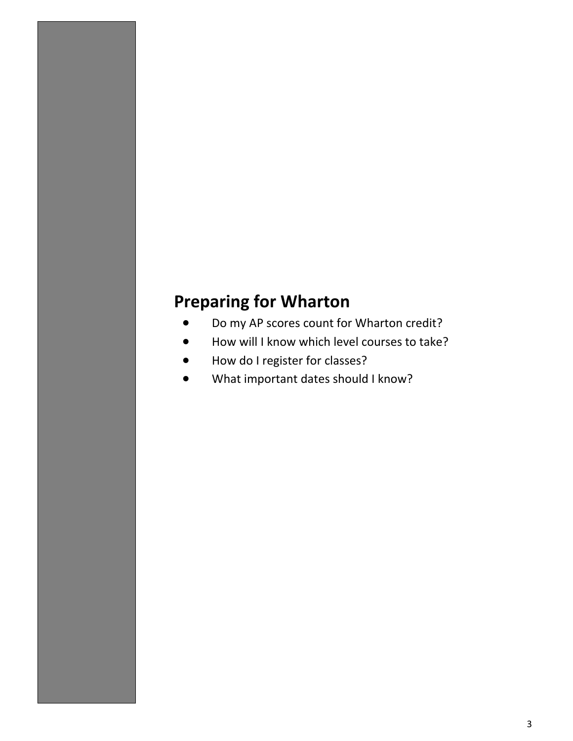# **Preparing for Wharton**

- Do my AP scores count for Wharton credit?
- How will I know which level courses to take?
- How do I register for classes?
- What important dates should I know?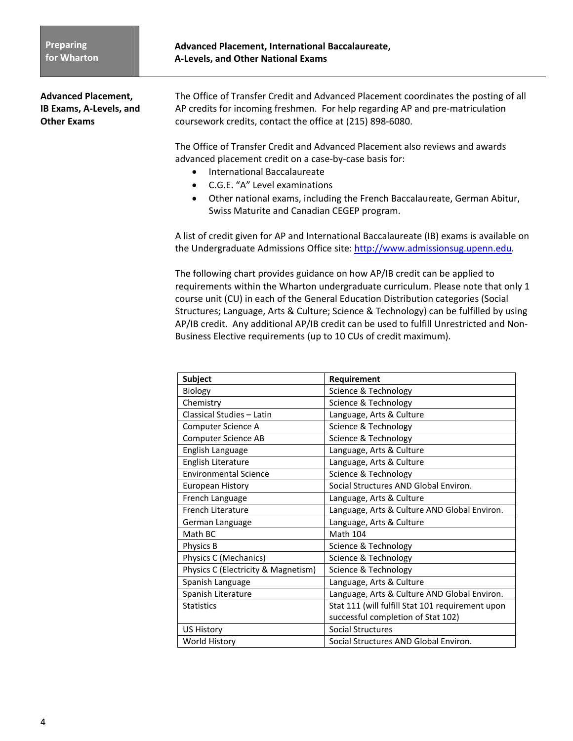**Advanced Placement,** The Office of Transfer Credit and Advanced Placement coordinates the posting of all **IB Exams, A‐Levels, and** AP credits for incoming freshmen. For help regarding AP and pre‐matriculation **Other Exams COURSE COUSE COUSE CONTACT CONTACT CONTEXT** CONTEXT CONTEXT CONTEXT CONTEXT CONTEXT CONTEXT CONTEXT CONTEXT CONTEXT CONTEXT CONTEXT CONTEXT CONTEXT CONTEXT CONTEXT CONTEXT CONTEXT CONTEXT CONTEXT CONTEXT CON

> The Office of Transfer Credit and Advanced Placement also reviews and awards advanced placement credit on a case‐by‐case basis for:

- **•** International Baccalaureate
- C.G.E. "A" Level examinations
- Other national exams, including the French Baccalaureate, German Abitur, Swiss Maturite and Canadian CEGEP program.

A list of credit given for AP and International Baccalaureate (IB) exams is available on the Undergraduate Admissions Office site: http://www.admissionsug.upenn.edu*.*

The following chart provides guidance on how AP/IB credit can be applied to requirements within the Wharton undergraduate curriculum. Please note that only 1 course unit (CU) in each of the General Education Distribution categories (Social Structures; Language, Arts & Culture; Science & Technology) can be fulfilled by using AP/IB credit. Any additional AP/IB credit can be used to fulfill Unrestricted and Non‐ Business Elective requirements (up to 10 CUs of credit maximum).

| <b>Subject</b>                      | Requirement                                      |
|-------------------------------------|--------------------------------------------------|
| Biology                             | Science & Technology                             |
| Chemistry                           | Science & Technology                             |
| Classical Studies - Latin           | Language, Arts & Culture                         |
| Computer Science A                  | Science & Technology                             |
| <b>Computer Science AB</b>          | Science & Technology                             |
| English Language                    | Language, Arts & Culture                         |
| English Literature                  | Language, Arts & Culture                         |
| <b>Environmental Science</b>        | Science & Technology                             |
| European History                    | Social Structures AND Global Environ.            |
| French Language                     | Language, Arts & Culture                         |
| French Literature                   | Language, Arts & Culture AND Global Environ.     |
| German Language                     | Language, Arts & Culture                         |
| Math BC                             | <b>Math 104</b>                                  |
| Physics B                           | Science & Technology                             |
| Physics C (Mechanics)               | Science & Technology                             |
| Physics C (Electricity & Magnetism) | Science & Technology                             |
| Spanish Language                    | Language, Arts & Culture                         |
| Spanish Literature                  | Language, Arts & Culture AND Global Environ.     |
| <b>Statistics</b>                   | Stat 111 (will fulfill Stat 101 requirement upon |
|                                     | successful completion of Stat 102)               |
| <b>US History</b>                   | <b>Social Structures</b>                         |
| World History                       | Social Structures AND Global Environ.            |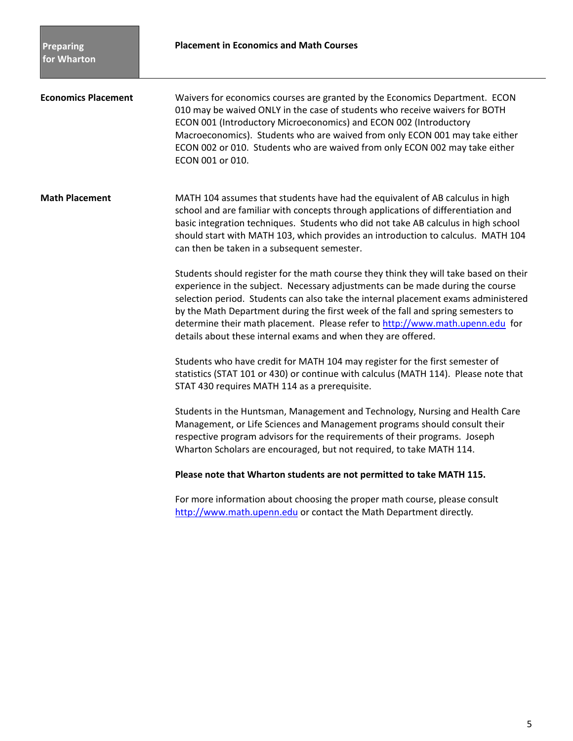**Economics Placement** Waivers for economics courses are granted by the Economics Department. ECON 010 may be waived ONLY in the case of students who receive waivers for BOTH ECON 001 (Introductory Microeconomics) and ECON 002 (Introductory Macroeconomics). Students who are waived from only ECON 001 may take either ECON 002 or 010. Students who are waived from only ECON 002 may take either ECON 001 or 010.

**Math Placement** MATH 104 assumes that students have had the equivalent of AB calculus in high school and are familiar with concepts through applications of differentiation and basic integration techniques. Students who did not take AB calculus in high school should start with MATH 103, which provides an introduction to calculus. MATH 104 can then be taken in a subsequent semester.

> Students should register for the math course they think they will take based on their experience in the subject. Necessary adjustments can be made during the course selection period. Students can also take the internal placement exams administered by the Math Department during the first week of the fall and spring semesters to determine their math placement. Please refer to http://www.math.upenn.edu for details about these internal exams and when they are offered.

Students who have credit for MATH 104 may register for the first semester of statistics (STAT 101 or 430) or continue with calculus (MATH 114). Please note that STAT 430 requires MATH 114 as a prerequisite.

Students in the Huntsman, Management and Technology, Nursing and Health Care Management, or Life Sciences and Management programs should consult their respective program advisors for the requirements of their programs. Joseph Wharton Scholars are encouraged, but not required, to take MATH 114.

#### **Please note that Wharton students are not permitted to take MATH 115.**

For more information about choosing the proper math course, please consult http://www.math.upenn.edu or contact the Math Department directly*.*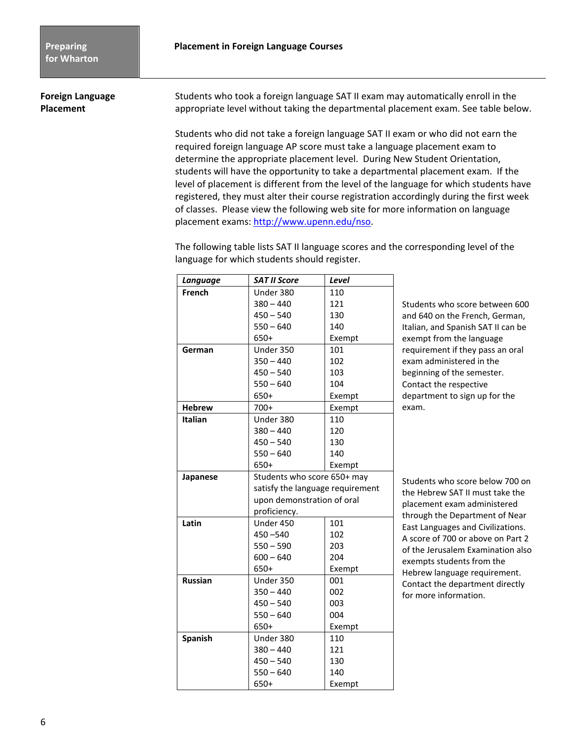**Foreign Language Students who took a foreign language SAT II exam may automatically enroll in the Placement** *appropriate level without taking the departmental placement exam. See table below.* 

> Students who did not take a foreign language SAT II exam or who did not earn the required foreign language AP score must take a language placement exam to determine the appropriate placement level. During New Student Orientation, students will have the opportunity to take a departmental placement exam. If the level of placement is different from the level of the language for which students have registered, they must alter their course registration accordingly during the first week of classes. Please view the following web site for more information on language placement exams: http://www.upenn.edu/nso.

The following table lists SAT II language scores and the corresponding level of the language for which students should register.

| Language       | <b>SAT II Score</b>              | Level  |
|----------------|----------------------------------|--------|
| French         | Under 380                        | 110    |
|                | $380 - 440$                      | 121    |
|                | $450 - 540$                      | 130    |
|                | $550 - 640$                      | 140    |
|                | 650+                             | Exempt |
| German         | Under 350                        | 101    |
|                | $350 - 440$                      | 102    |
|                | $450 - 540$                      | 103    |
|                | $550 - 640$                      | 104    |
|                | 650+                             | Exempt |
| <b>Hebrew</b>  | $700+$                           | Exempt |
| <b>Italian</b> | Under 380                        | 110    |
|                | $380 - 440$                      | 120    |
|                | $450 - 540$                      | 130    |
|                | $550 - 640$                      | 140    |
|                | $650+$                           | Exempt |
| Japanese       | Students who score 650+ may      |        |
|                | satisfy the language requirement |        |
|                | upon demonstration of oral       |        |
|                | proficiency.                     |        |
| Latin          | Under 450                        | 101    |
|                | 450 - 540                        | 102    |
|                | $550 - 590$                      | 203    |
|                | $600 - 640$                      | 204    |
|                | 650+                             | Exempt |
| <b>Russian</b> | Under 350                        | 001    |
|                | $350 - 440$                      | 002    |
|                | $450 - 540$                      | 003    |
|                | $550 - 640$                      | 004    |
|                | 650+                             | Exempt |
| Spanish        | Under 380                        | 110    |
|                | $380 - 440$                      | 121    |
|                | $450 - 540$                      | 130    |
|                | $550 - 640$                      | 140    |
|                | 650+                             | Exempt |

Students who score between 600 and 640 on the French, German, Italian, and Spanish SAT II can be exempt from the language requirement if they pass an oral exam administered in the beginning of the semester. Contact the respective department to sign up for the exam.

Students who score below 700 on the Hebrew SAT II must take the placement exam administered through the Department of Near East Languages and Civilizations. A score of 700 or above on Part 2 of the Jerusalem Examination also exempts students from the Hebrew language requirement. Contact the department directly for more information.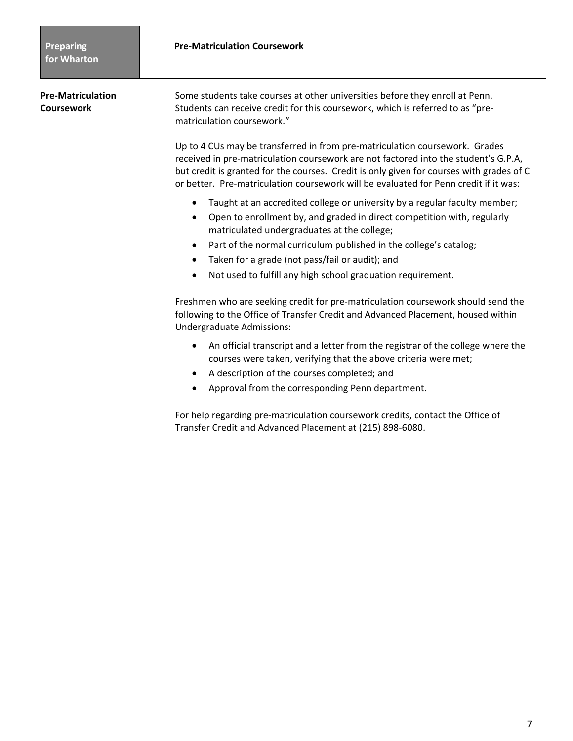**Pre‐Matriculation**  Some students take courses at other universities before they enroll at Penn. **Coursework** Students can receive credit for this coursework, which is referred to as "prematriculation coursework."

> Up to 4 CUs may be transferred in from pre-matriculation coursework. Grades received in pre‐matriculation coursework are not factored into the student's G.P.A, but credit is granted for the courses. Credit is only given for courses with grades of C or better. Pre-matriculation coursework will be evaluated for Penn credit if it was:

- Taught at an accredited college or university by a regular faculty member;
- Open to enrollment by, and graded in direct competition with, regularly matriculated undergraduates at the college;
- Part of the normal curriculum published in the college's catalog;
- Taken for a grade (not pass/fail or audit); and
- Not used to fulfill any high school graduation requirement.

Freshmen who are seeking credit for pre‐matriculation coursework should send the following to the Office of Transfer Credit and Advanced Placement, housed within Undergraduate Admissions:

- An official transcript and a letter from the registrar of the college where the courses were taken, verifying that the above criteria were met;
- A description of the courses completed; and
- Approval from the corresponding Penn department.

For help regarding pre‐matriculation coursework credits, contact the Office of Transfer Credit and Advanced Placement at (215) 898‐6080.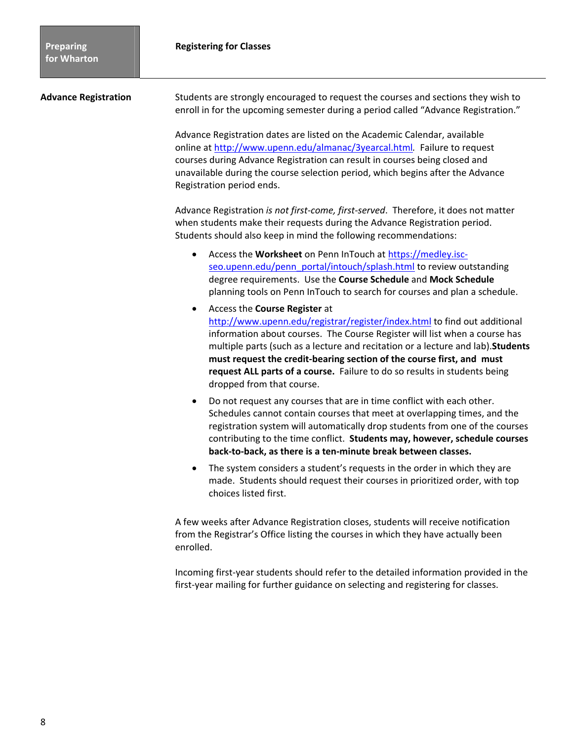| <b>Advance Registration</b> | Students are strongly encouraged to request the courses and sections they wish to<br>enroll in for the upcoming semester during a period called "Advance Registration."                                                                                                                                                                                                                                                                                                      |  |
|-----------------------------|------------------------------------------------------------------------------------------------------------------------------------------------------------------------------------------------------------------------------------------------------------------------------------------------------------------------------------------------------------------------------------------------------------------------------------------------------------------------------|--|
|                             | Advance Registration dates are listed on the Academic Calendar, available<br>online at http://www.upenn.edu/almanac/3yearcal.html. Failure to request<br>courses during Advance Registration can result in courses being closed and<br>unavailable during the course selection period, which begins after the Advance<br>Registration period ends.                                                                                                                           |  |
|                             | Advance Registration is not first-come, first-served. Therefore, it does not matter<br>when students make their requests during the Advance Registration period.<br>Students should also keep in mind the following recommendations:                                                                                                                                                                                                                                         |  |
|                             | Access the Worksheet on Penn InTouch at https://medley.isc-<br>$\bullet$<br>seo.upenn.edu/penn_portal/intouch/splash.html to review outstanding<br>degree requirements. Use the Course Schedule and Mock Schedule<br>planning tools on Penn InTouch to search for courses and plan a schedule.                                                                                                                                                                               |  |
|                             | Access the Course Register at<br>$\bullet$<br>http://www.upenn.edu/registrar/register/index.html to find out additional<br>information about courses. The Course Register will list when a course has<br>multiple parts (such as a lecture and recitation or a lecture and lab). Students<br>must request the credit-bearing section of the course first, and must<br>request ALL parts of a course. Failure to do so results in students being<br>dropped from that course. |  |
|                             | Do not request any courses that are in time conflict with each other.<br>$\bullet$<br>Schedules cannot contain courses that meet at overlapping times, and the<br>registration system will automatically drop students from one of the courses<br>contributing to the time conflict. Students may, however, schedule courses<br>back-to-back, as there is a ten-minute break between classes.                                                                                |  |
|                             | The system considers a student's requests in the order in which they are<br>٠<br>made. Students should request their courses in prioritized order, with top<br>choices listed first.                                                                                                                                                                                                                                                                                         |  |
|                             | A few weeks after Advance Registration closes, students will receive notification<br>from the Registrar's Office listing the courses in which they have actually been<br>enrolled.                                                                                                                                                                                                                                                                                           |  |
|                             | Incoming first-year students should refer to the detailed information provided in the<br>first-year mailing for further guidance on selecting and registering for classes.                                                                                                                                                                                                                                                                                                   |  |
|                             |                                                                                                                                                                                                                                                                                                                                                                                                                                                                              |  |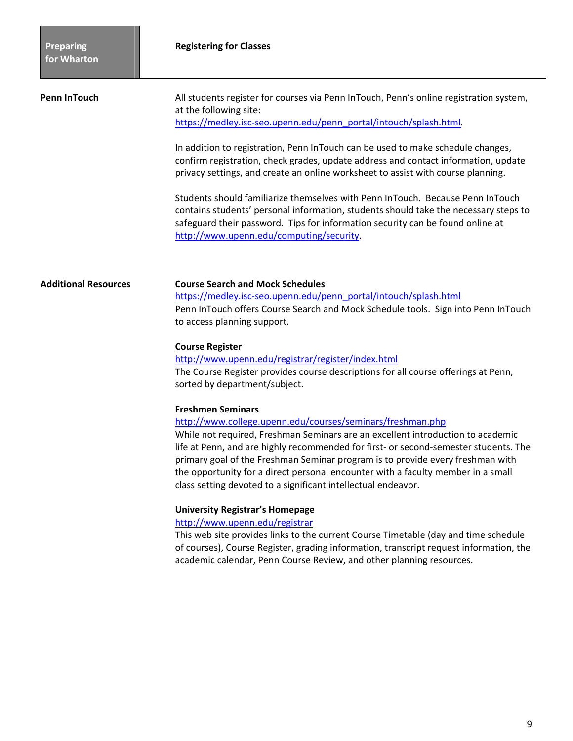| Penn InTouch | All students register for courses via Penn InTouch, Penn's online registration system,<br>at the following site:<br>https://medley.isc-seo.upenn.edu/penn_portal/intouch/splash.html                                                                      |
|--------------|-----------------------------------------------------------------------------------------------------------------------------------------------------------------------------------------------------------------------------------------------------------|
|              | In addition to registration, Penn InTouch can be used to make schedule changes,<br>confirm registration, check grades, update address and contact information, update<br>privacy settings, and create an online worksheet to assist with course planning. |
|              | Students should familiarize themselves with Penn InTouch. Because Penn InTouch<br>contains students' personal information, students should take the necessary steps to<br>safeguard their password. Tips for information security can be found online at  |

http://www.upenn.edu/computing/security*.*

#### **Additional Resources Course Search and Mock Schedules**

https://medley.isc-seo.upenn.edu/penn\_portal/intouch/splash.html Penn InTouch offers Course Search and Mock Schedule tools. Sign into Penn InTouch to access planning support.

#### **Course Register**

http://www.upenn.edu/registrar/register/index.html The Course Register provides course descriptions for all course offerings at Penn, sorted by department/subject.

#### **Freshmen Seminars**

#### http://www.college.upenn.edu/courses/seminars/freshman.php

While not required, Freshman Seminars are an excellent introduction to academic life at Penn, and are highly recommended for first‐ or second‐semester students. The primary goal of the Freshman Seminar program is to provide every freshman with the opportunity for a direct personal encounter with a faculty member in a small class setting devoted to a significant intellectual endeavor.

#### **University Registrar's Homepage**

### http://www.upenn.edu/registrar

This web site provides links to the current Course Timetable (day and time schedule of courses), Course Register, grading information, transcript request information, the academic calendar, Penn Course Review, and other planning resources.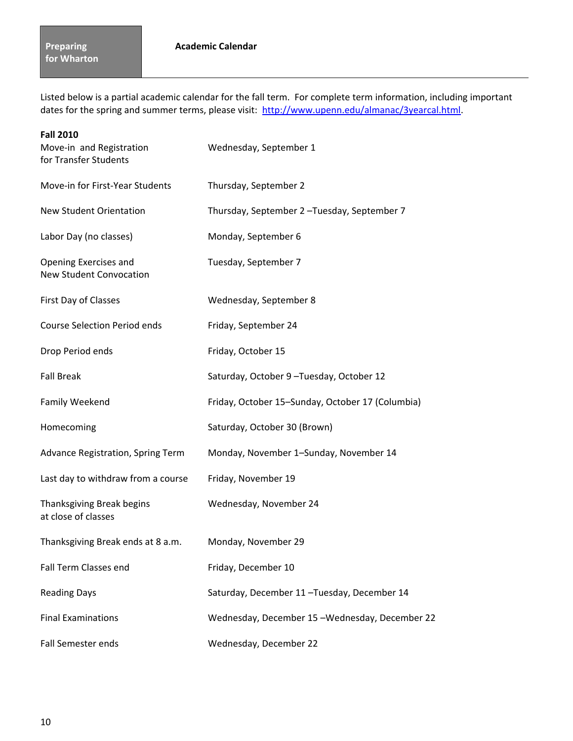Listed below is a partial academic calendar for the fall term. For complete term information, including important dates for the spring and summer terms, please visit: http://www.upenn.edu/almanac/3yearcal.html.

| <b>Fall 2010</b><br>Move-in and Registration<br>for Transfer Students | Wednesday, September 1                           |
|-----------------------------------------------------------------------|--------------------------------------------------|
| Move-in for First-Year Students                                       | Thursday, September 2                            |
| <b>New Student Orientation</b>                                        | Thursday, September 2-Tuesday, September 7       |
| Labor Day (no classes)                                                | Monday, September 6                              |
| Opening Exercises and<br><b>New Student Convocation</b>               | Tuesday, September 7                             |
| First Day of Classes                                                  | Wednesday, September 8                           |
| <b>Course Selection Period ends</b>                                   | Friday, September 24                             |
| Drop Period ends                                                      | Friday, October 15                               |
| <b>Fall Break</b>                                                     | Saturday, October 9-Tuesday, October 12          |
| Family Weekend                                                        | Friday, October 15-Sunday, October 17 (Columbia) |
| Homecoming                                                            | Saturday, October 30 (Brown)                     |
| Advance Registration, Spring Term                                     | Monday, November 1-Sunday, November 14           |
| Last day to withdraw from a course                                    | Friday, November 19                              |
| Thanksgiving Break begins<br>at close of classes                      | Wednesday, November 24                           |
| Thanksgiving Break ends at 8 a.m.                                     | Monday, November 29                              |
| Fall Term Classes end                                                 | Friday, December 10                              |
| <b>Reading Days</b>                                                   | Saturday, December 11-Tuesday, December 14       |
| <b>Final Examinations</b>                                             | Wednesday, December 15-Wednesday, December 22    |
| Fall Semester ends                                                    | Wednesday, December 22                           |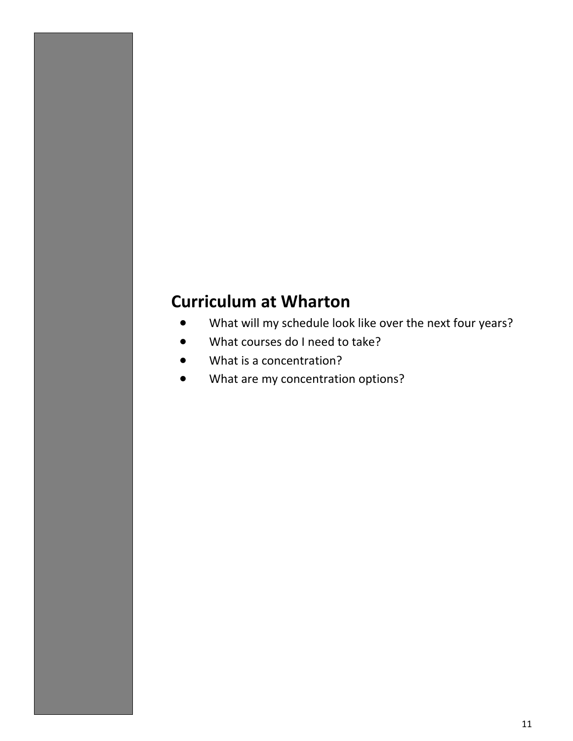# **Curriculum at Wharton**

- What will my schedule look like over the next four years?
- What courses do I need to take?
- What is a concentration?
- What are my concentration options?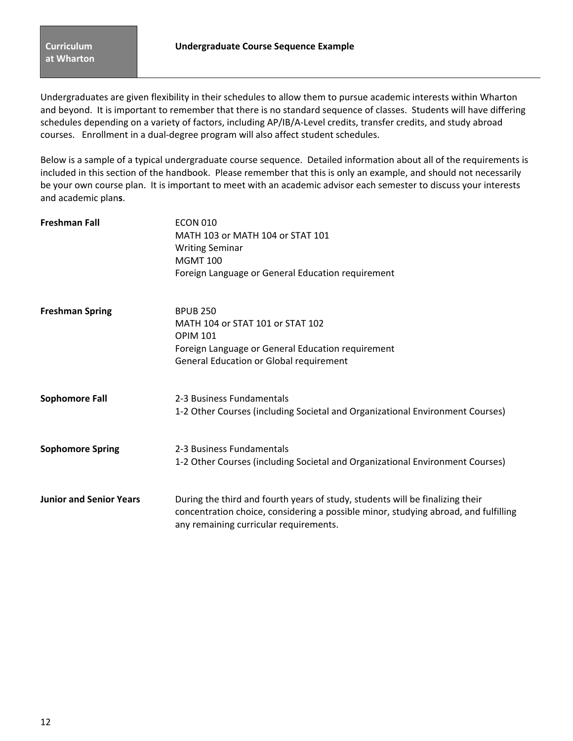Undergraduates are given flexibility in their schedules to allow them to pursue academic interests within Wharton and beyond. It is important to remember that there is no standard sequence of classes. Students will have differing schedules depending on a variety of factors, including AP/IB/A‐Level credits, transfer credits, and study abroad courses. Enrollment in a dual‐degree program will also affect student schedules.

Below is a sample of a typical undergraduate course sequence. Detailed information about all of the requirements is included in this section of the handbook. Please remember that this is only an example, and should not necessarily be your own course plan. It is important to meet with an academic advisor each semester to discuss your interests and academic plan**s**.

| <b>Freshman Fall</b>           | <b>ECON 010</b><br>MATH 103 or MATH 104 or STAT 101<br><b>Writing Seminar</b><br><b>MGMT 100</b><br>Foreign Language or General Education requirement                                                          |
|--------------------------------|----------------------------------------------------------------------------------------------------------------------------------------------------------------------------------------------------------------|
| <b>Freshman Spring</b>         | <b>BPUB 250</b><br>MATH 104 or STAT 101 or STAT 102<br><b>OPIM 101</b><br>Foreign Language or General Education requirement<br>General Education or Global requirement                                         |
| <b>Sophomore Fall</b>          | 2-3 Business Fundamentals<br>1-2 Other Courses (including Societal and Organizational Environment Courses)                                                                                                     |
| <b>Sophomore Spring</b>        | 2-3 Business Fundamentals<br>1-2 Other Courses (including Societal and Organizational Environment Courses)                                                                                                     |
| <b>Junior and Senior Years</b> | During the third and fourth years of study, students will be finalizing their<br>concentration choice, considering a possible minor, studying abroad, and fulfilling<br>any remaining curricular requirements. |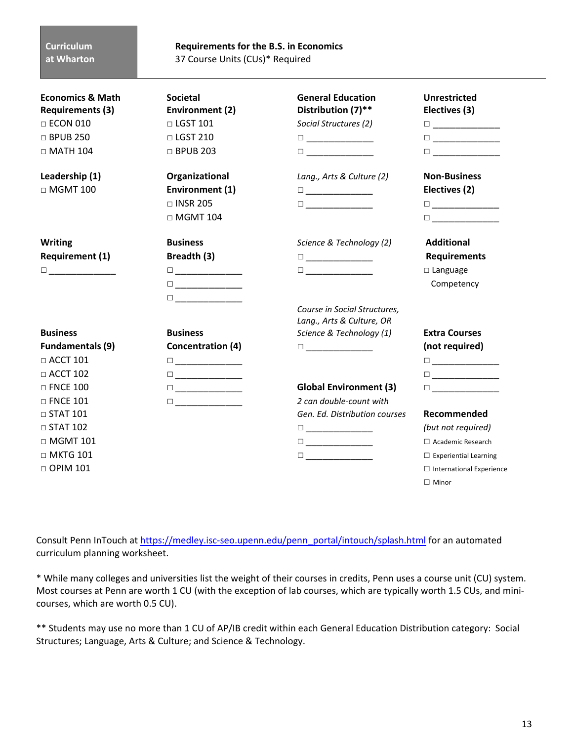### **Curriculum at Wharton**

**Requirements for the B.S. in Economics** 37 Course Units (CUs)\* Required

| <b>Economics &amp; Math</b><br><b>Requirements (3)</b><br>$\Box$ ECON 010<br>$\Box$ BPUB 250<br>$\Box$ MATH 104 | <b>Societal</b><br><b>Environment (2)</b><br>$\Box$ LGST 101<br>$\Box$ LGST 210<br>$\Box$ BPUB 203                                                                                                                  | <b>General Education</b><br>Distribution (7)**<br>Social Structures (2)<br>$\begin{tabular}{ c c c c } \hline \quad \quad & \quad \quad & \quad \quad & \quad \quad \\ \hline \quad \quad & \quad \quad & \quad \quad & \quad \quad \\ \hline \end{tabular}$<br>$\Box$ and $\Box$ and $\Box$ and $\Box$ | <b>Unrestricted</b><br>Electives (3)<br>$\begin{tabular}{ c c c c } \hline \quad \quad & \quad \quad & \quad \quad & \quad \quad \\ \hline \quad \quad & \quad \quad & \quad \quad & \quad \quad \\ \hline \end{tabular}$<br>$\begin{tabular}{ c c c } \hline \quad \quad & \quad \quad & \quad \quad & \quad \quad \\ \hline \end{tabular}$<br>$\Box$ and $\Box$ and $\Box$ and $\Box$ |
|-----------------------------------------------------------------------------------------------------------------|---------------------------------------------------------------------------------------------------------------------------------------------------------------------------------------------------------------------|---------------------------------------------------------------------------------------------------------------------------------------------------------------------------------------------------------------------------------------------------------------------------------------------------------|-----------------------------------------------------------------------------------------------------------------------------------------------------------------------------------------------------------------------------------------------------------------------------------------------------------------------------------------------------------------------------------------|
| Leadership (1)<br>$\Box$ MGMT 100                                                                               | Organizational<br>Environment (1)<br>$\Box$ INSR 205<br>$\Box$ MGMT 104                                                                                                                                             | Lang., Arts & Culture (2)<br>$\Box \underbrace{\phantom{aaaaaaa}}$<br>$\Box$                                                                                                                                                                                                                            | <b>Non-Business</b><br>Electives (2)<br>$\begin{tabular}{ c c c c } \hline \quad \quad & \quad \quad & \quad \quad & \quad \quad \\ \hline \quad \quad & \quad \quad & \quad \quad & \quad \quad \\ \hline \end{tabular}$<br>$\Box$ and $\Box$ and $\Box$ and $\Box$                                                                                                                    |
| <b>Writing</b><br><b>Requirement (1)</b><br>$\Box$                                                              | <b>Business</b><br>Breadth (3)<br>$\begin{tabular}{ c c c c } \hline \quad \quad & \quad \quad & \quad \quad & \quad \quad \\ \hline \quad \quad & \quad \quad & \quad \quad & \quad \quad \\ \hline \end{tabular}$ | Science & Technology (2)<br>$\begin{tabular}{ c c c c } \hline \quad \quad & \quad \quad & \quad \quad & \quad \quad \\ \hline \quad \quad & \quad \quad & \quad \quad & \quad \quad \\ \hline \end{tabular}$<br>$\Box$ and $\Box$ and $\Box$ and $\Box$ and $\Box$                                     | <b>Additional</b><br><b>Requirements</b><br>$\Box$ Language<br>Competency                                                                                                                                                                                                                                                                                                               |
| <b>Business</b><br><b>Fundamentals (9)</b><br>$\Box$ ACCT 101                                                   | <b>Business</b><br><b>Concentration (4)</b>                                                                                                                                                                         | Course in Social Structures,<br>Lang., Arts & Culture, OR<br>Science & Technology (1)                                                                                                                                                                                                                   | <b>Extra Courses</b><br>(not required)<br>$\Box \underbrace{\phantom{aaaaaaa}}$                                                                                                                                                                                                                                                                                                         |
| $\Box$ ACCT 102<br>$\Box$ FNCE 100<br>$\Box$ FNCE 101                                                           | $\Box$                                                                                                                                                                                                              | <b>Global Environment (3)</b><br>2 can double-count with                                                                                                                                                                                                                                                | $\begin{tabular}{ c c c c } \hline \quad \quad & \quad \quad & \quad \quad & \quad \quad \\ \hline \end{tabular}$<br>$\Box$ and the set of $\Box$ and $\Box$                                                                                                                                                                                                                            |
| $\Box$ STAT 101<br>$\Box$ STAT 102<br>$\Box$ MGMT 101<br>$\Box$ MKTG 101<br>$\Box$ OPIM 101                     |                                                                                                                                                                                                                     | Gen. Ed. Distribution courses<br>$\Box \underbrace{\phantom{aaaaaaa}}$                                                                                                                                                                                                                                  | Recommended<br>(but not required)<br>□ Academic Research<br>$\Box$ Experiential Learning<br>$\Box$ International Experience                                                                                                                                                                                                                                                             |
|                                                                                                                 |                                                                                                                                                                                                                     |                                                                                                                                                                                                                                                                                                         | $\Box$ Minor                                                                                                                                                                                                                                                                                                                                                                            |

Consult Penn InTouch at https://medley.isc-seo.upenn.edu/penn\_portal/intouch/splash.html for an automated curriculum planning worksheet.

\* While many colleges and universities list the weight of their courses in credits, Penn uses a course unit (CU) system. Most courses at Penn are worth 1 CU (with the exception of lab courses, which are typically worth 1.5 CUs, and mini‐ courses, which are worth 0.5 CU).

\*\* Students may use no more than 1 CU of AP/IB credit within each General Education Distribution category: Social Structures; Language, Arts & Culture; and Science & Technology.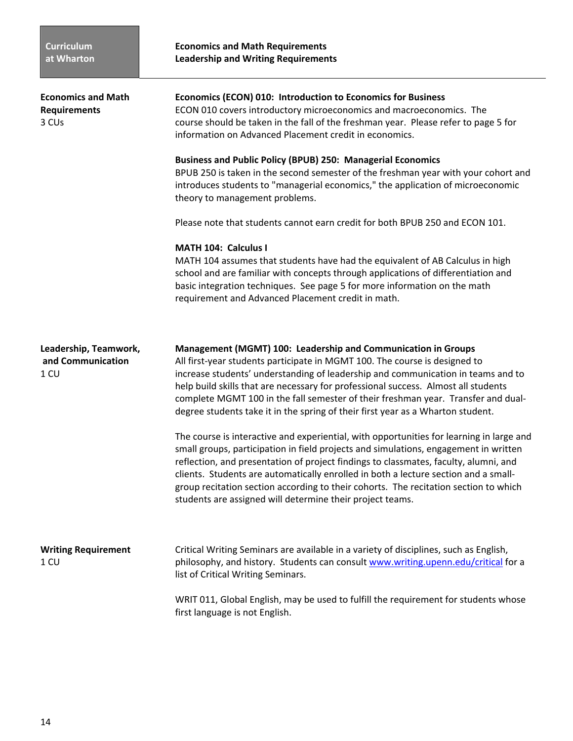| <b>Economics and Math</b><br><b>Requirements</b><br>3 CU <sub>s</sub> | Economics (ECON) 010: Introduction to Economics for Business<br>ECON 010 covers introductory microeconomics and macroeconomics. The<br>course should be taken in the fall of the freshman year. Please refer to page 5 for<br>information on Advanced Placement credit in economics.                                                                                                                                                                                                                                 |  |
|-----------------------------------------------------------------------|----------------------------------------------------------------------------------------------------------------------------------------------------------------------------------------------------------------------------------------------------------------------------------------------------------------------------------------------------------------------------------------------------------------------------------------------------------------------------------------------------------------------|--|
|                                                                       | <b>Business and Public Policy (BPUB) 250: Managerial Economics</b><br>BPUB 250 is taken in the second semester of the freshman year with your cohort and<br>introduces students to "managerial economics," the application of microeconomic<br>theory to management problems.                                                                                                                                                                                                                                        |  |
|                                                                       | Please note that students cannot earn credit for both BPUB 250 and ECON 101.                                                                                                                                                                                                                                                                                                                                                                                                                                         |  |
|                                                                       | MATH 104: Calculus I<br>MATH 104 assumes that students have had the equivalent of AB Calculus in high<br>school and are familiar with concepts through applications of differentiation and<br>basic integration techniques. See page 5 for more information on the math<br>requirement and Advanced Placement credit in math.                                                                                                                                                                                        |  |
| Leadership, Teamwork,<br>and Communication<br>$1 \, \text{CU}$        | Management (MGMT) 100: Leadership and Communication in Groups<br>All first-year students participate in MGMT 100. The course is designed to<br>increase students' understanding of leadership and communication in teams and to<br>help build skills that are necessary for professional success. Almost all students<br>complete MGMT 100 in the fall semester of their freshman year. Transfer and dual-<br>degree students take it in the spring of their first year as a Wharton student.                        |  |
|                                                                       | The course is interactive and experiential, with opportunities for learning in large and<br>small groups, participation in field projects and simulations, engagement in written<br>reflection, and presentation of project findings to classmates, faculty, alumni, and<br>clients. Students are automatically enrolled in both a lecture section and a small-<br>group recitation section according to their cohorts. The recitation section to which<br>students are assigned will determine their project teams. |  |
| <b>Writing Requirement</b><br>1 <sub>CU</sub>                         | Critical Writing Seminars are available in a variety of disciplines, such as English,<br>philosophy, and history. Students can consult www.writing.upenn.edu/critical for a<br>list of Critical Writing Seminars.                                                                                                                                                                                                                                                                                                    |  |
|                                                                       | WRIT 011, Global English, may be used to fulfill the requirement for students whose<br>first language is not English.                                                                                                                                                                                                                                                                                                                                                                                                |  |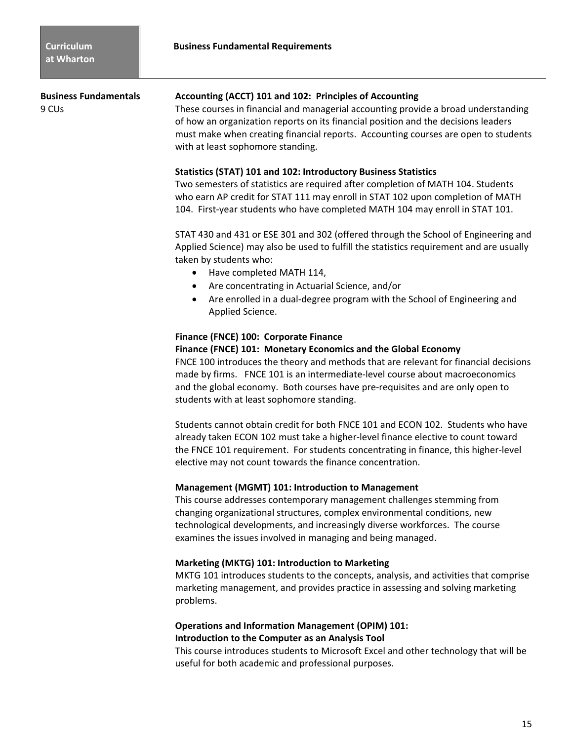**Business Fundamentals Accounting (ACCT) 101 and 102: Principles of Accounting**

9 CUs These courses in financial and managerial accounting provide a broad understanding of how an organization reports on its financial position and the decisions leaders must make when creating financial reports. Accounting courses are open to students with at least sophomore standing.

### **Statistics (STAT) 101 and 102: Introductory Business Statistics**

Two semesters of statistics are required after completion of MATH 104. Students who earn AP credit for STAT 111 may enroll in STAT 102 upon completion of MATH 104. First‐year students who have completed MATH 104 may enroll in STAT 101.

STAT 430 and 431 or ESE 301 and 302 (offered through the School of Engineering and Applied Science) may also be used to fulfill the statistics requirement and are usually taken by students who:

- Have completed MATH 114,
- Are concentrating in Actuarial Science, and/or
- Are enrolled in a dual‐degree program with the School of Engineering and Applied Science.

### **Finance (FNCE) 100: Corporate Finance**

#### **Finance (FNCE) 101: Monetary Economics and the Global Economy**

FNCE 100 introduces the theory and methods that are relevant for financial decisions made by firms. FNCE 101 is an intermediate-level course about macroeconomics and the global economy. Both courses have pre‐requisites and are only open to students with at least sophomore standing.

Students cannot obtain credit for both FNCE 101 and ECON 102. Students who have already taken ECON 102 must take a higher‐level finance elective to count toward the FNCE 101 requirement. For students concentrating in finance, this higher‐level elective may not count towards the finance concentration.

#### **Management (MGMT) 101: Introduction to Management**

This course addresses contemporary management challenges stemming from changing organizational structures, complex environmental conditions, new technological developments, and increasingly diverse workforces. The course examines the issues involved in managing and being managed.

#### **Marketing (MKTG) 101: Introduction to Marketing**

MKTG 101 introduces students to the concepts, analysis, and activities that comprise marketing management, and provides practice in assessing and solving marketing problems.

## **Operations and Information Management (OPIM) 101: Introduction to the Computer as an Analysis Tool**

This course introduces students to Microsoft Excel and other technology that will be useful for both academic and professional purposes.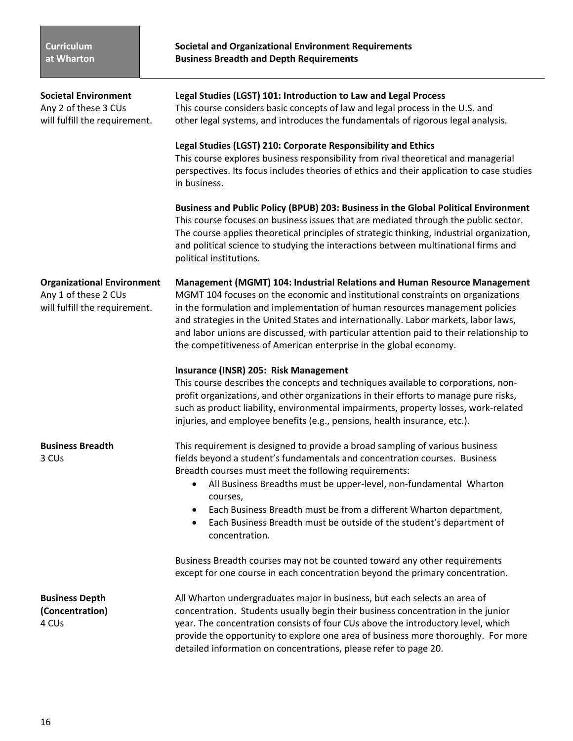**Societal Environment Legal Studies (LGST) 101: Introduction to Law and Legal Process**

Any 2 of these 3 CUs This course considers basic concepts of law and legal process in the U.S. and will fulfill the requirement. other legal systems, and introduces the fundamentals of rigorous legal analysis.

|                                                                                            | Legal Studies (LGST) 210: Corporate Responsibility and Ethics<br>This course explores business responsibility from rival theoretical and managerial<br>perspectives. Its focus includes theories of ethics and their application to case studies<br>in business.                                                                                                                                                                                                                                           |
|--------------------------------------------------------------------------------------------|------------------------------------------------------------------------------------------------------------------------------------------------------------------------------------------------------------------------------------------------------------------------------------------------------------------------------------------------------------------------------------------------------------------------------------------------------------------------------------------------------------|
|                                                                                            | Business and Public Policy (BPUB) 203: Business in the Global Political Environment<br>This course focuses on business issues that are mediated through the public sector.<br>The course applies theoretical principles of strategic thinking, industrial organization,<br>and political science to studying the interactions between multinational firms and<br>political institutions.                                                                                                                   |
| <b>Organizational Environment</b><br>Any 1 of these 2 CUs<br>will fulfill the requirement. | <b>Management (MGMT) 104: Industrial Relations and Human Resource Management</b><br>MGMT 104 focuses on the economic and institutional constraints on organizations<br>in the formulation and implementation of human resources management policies<br>and strategies in the United States and internationally. Labor markets, labor laws,<br>and labor unions are discussed, with particular attention paid to their relationship to<br>the competitiveness of American enterprise in the global economy. |
|                                                                                            | Insurance (INSR) 205: Risk Management<br>This course describes the concepts and techniques available to corporations, non-<br>profit organizations, and other organizations in their efforts to manage pure risks,<br>such as product liability, environmental impairments, property losses, work-related<br>injuries, and employee benefits (e.g., pensions, health insurance, etc.).                                                                                                                     |
| <b>Business Breadth</b><br>3 CUs                                                           | This requirement is designed to provide a broad sampling of various business<br>fields beyond a student's fundamentals and concentration courses. Business<br>Breadth courses must meet the following requirements:<br>All Business Breadths must be upper-level, non-fundamental Wharton<br>$\bullet$<br>courses,<br>Each Business Breadth must be from a different Wharton department,<br>٠<br>Each Business Breadth must be outside of the student's department of<br>$\bullet$<br>concentration.       |
|                                                                                            | Business Breadth courses may not be counted toward any other requirements<br>except for one course in each concentration beyond the primary concentration.                                                                                                                                                                                                                                                                                                                                                 |
| <b>Business Depth</b><br>(Concentration)<br>4 CUs                                          | All Wharton undergraduates major in business, but each selects an area of<br>concentration. Students usually begin their business concentration in the junior<br>year. The concentration consists of four CUs above the introductory level, which<br>provide the opportunity to explore one area of business more thoroughly. For more<br>detailed information on concentrations, please refer to page 20.                                                                                                 |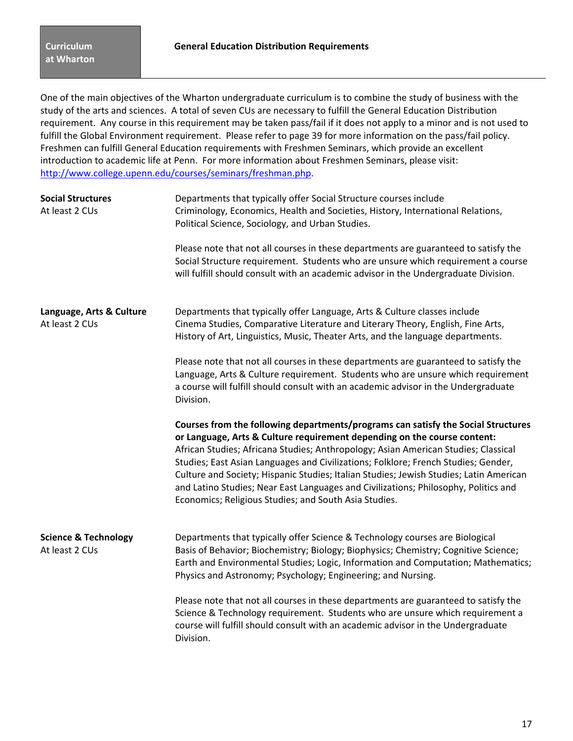One of the main objectives of the Wharton undergraduate curriculum is to combine the study of business with the study of the arts and sciences. A total of seven CUs are necessary to fulfill the General Education Distribution requirement. Any course in this requirement may be taken pass/fail if it does not apply to a minor and is not used to fulfill the Global Environment requirement. Please refer to page 39 for more information on the pass/fail policy. Freshmen can fulfill General Education requirements with Freshmen Seminars, which provide an excellent introduction to academic life at Penn. For more information about Freshmen Seminars, please visit: http://www.college.upenn.edu/courses/seminars/freshman.php.

| <b>Social Structures</b><br>At least 2 CUs        | Departments that typically offer Social Structure courses include<br>Criminology, Economics, Health and Societies, History, International Relations,<br>Political Science, Sociology, and Urban Studies.                                                                                                                                                                                                                                                                                                                                                                            |  |  |
|---------------------------------------------------|-------------------------------------------------------------------------------------------------------------------------------------------------------------------------------------------------------------------------------------------------------------------------------------------------------------------------------------------------------------------------------------------------------------------------------------------------------------------------------------------------------------------------------------------------------------------------------------|--|--|
|                                                   | Please note that not all courses in these departments are guaranteed to satisfy the<br>Social Structure requirement. Students who are unsure which requirement a course<br>will fulfill should consult with an academic advisor in the Undergraduate Division.                                                                                                                                                                                                                                                                                                                      |  |  |
| Language, Arts & Culture<br>At least 2 CUs        | Departments that typically offer Language, Arts & Culture classes include<br>Cinema Studies, Comparative Literature and Literary Theory, English, Fine Arts,<br>History of Art, Linguistics, Music, Theater Arts, and the language departments.                                                                                                                                                                                                                                                                                                                                     |  |  |
|                                                   | Please note that not all courses in these departments are guaranteed to satisfy the<br>Language, Arts & Culture requirement. Students who are unsure which requirement<br>a course will fulfill should consult with an academic advisor in the Undergraduate<br>Division.                                                                                                                                                                                                                                                                                                           |  |  |
|                                                   | Courses from the following departments/programs can satisfy the Social Structures<br>or Language, Arts & Culture requirement depending on the course content:<br>African Studies; Africana Studies; Anthropology; Asian American Studies; Classical<br>Studies; East Asian Languages and Civilizations; Folklore; French Studies; Gender,<br>Culture and Society; Hispanic Studies; Italian Studies; Jewish Studies; Latin American<br>and Latino Studies; Near East Languages and Civilizations; Philosophy, Politics and<br>Economics; Religious Studies; and South Asia Studies. |  |  |
| <b>Science &amp; Technology</b><br>At least 2 CUs | Departments that typically offer Science & Technology courses are Biological<br>Basis of Behavior; Biochemistry; Biology; Biophysics; Chemistry; Cognitive Science;<br>Earth and Environmental Studies; Logic, Information and Computation; Mathematics;<br>Physics and Astronomy; Psychology; Engineering; and Nursing.                                                                                                                                                                                                                                                            |  |  |
|                                                   | Please note that not all courses in these departments are guaranteed to satisfy the<br>Science & Technology requirement. Students who are unsure which requirement a<br>course will fulfill should consult with an academic advisor in the Undergraduate<br>Division.                                                                                                                                                                                                                                                                                                               |  |  |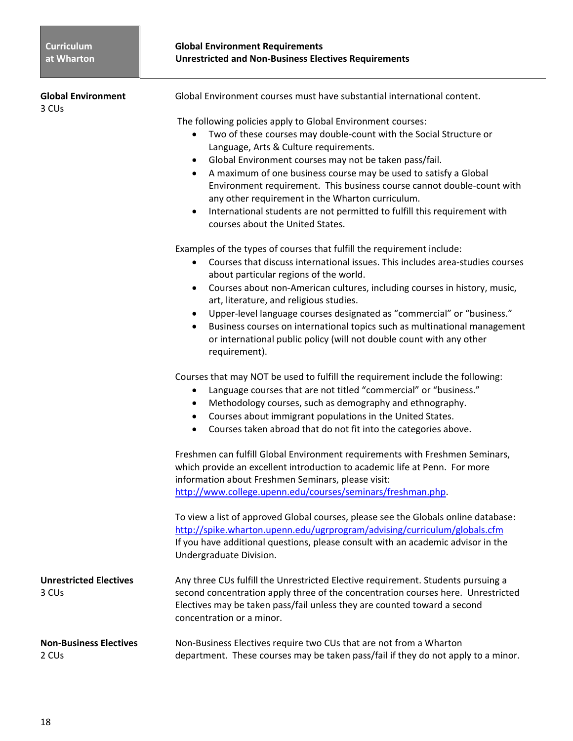| <b>Global Environment</b><br>3 CU <sub>s</sub>     | Global Environment courses must have substantial international content.                                                                                                                                                                                                                                                                                                                                                                                                                                                                                                                                                       |
|----------------------------------------------------|-------------------------------------------------------------------------------------------------------------------------------------------------------------------------------------------------------------------------------------------------------------------------------------------------------------------------------------------------------------------------------------------------------------------------------------------------------------------------------------------------------------------------------------------------------------------------------------------------------------------------------|
|                                                    | The following policies apply to Global Environment courses:<br>Two of these courses may double-count with the Social Structure or<br>$\bullet$<br>Language, Arts & Culture requirements.<br>Global Environment courses may not be taken pass/fail.<br>$\bullet$<br>A maximum of one business course may be used to satisfy a Global<br>$\bullet$<br>Environment requirement. This business course cannot double-count with<br>any other requirement in the Wharton curriculum.<br>International students are not permitted to fulfill this requirement with<br>$\bullet$<br>courses about the United States.                  |
|                                                    | Examples of the types of courses that fulfill the requirement include:<br>Courses that discuss international issues. This includes area-studies courses<br>$\bullet$<br>about particular regions of the world.<br>Courses about non-American cultures, including courses in history, music,<br>$\bullet$<br>art, literature, and religious studies.<br>Upper-level language courses designated as "commercial" or "business."<br>$\bullet$<br>Business courses on international topics such as multinational management<br>$\bullet$<br>or international public policy (will not double count with any other<br>requirement). |
|                                                    | Courses that may NOT be used to fulfill the requirement include the following:<br>Language courses that are not titled "commercial" or "business."<br>$\bullet$<br>Methodology courses, such as demography and ethnography.<br>$\bullet$<br>Courses about immigrant populations in the United States.<br>$\bullet$<br>Courses taken abroad that do not fit into the categories above.<br>$\bullet$                                                                                                                                                                                                                            |
|                                                    | Freshmen can fulfill Global Environment requirements with Freshmen Seminars,<br>which provide an excellent introduction to academic life at Penn. For more<br>information about Freshmen Seminars, please visit:<br>http://www.college.upenn.edu/courses/seminars/freshman.php.                                                                                                                                                                                                                                                                                                                                               |
|                                                    | To view a list of approved Global courses, please see the Globals online database:<br>http://spike.wharton.upenn.edu/ugrprogram/advising/curriculum/globals.cfm<br>If you have additional questions, please consult with an academic advisor in the<br>Undergraduate Division.                                                                                                                                                                                                                                                                                                                                                |
| <b>Unrestricted Electives</b><br>3 CU <sub>s</sub> | Any three CUs fulfill the Unrestricted Elective requirement. Students pursuing a<br>second concentration apply three of the concentration courses here. Unrestricted<br>Electives may be taken pass/fail unless they are counted toward a second<br>concentration or a minor.                                                                                                                                                                                                                                                                                                                                                 |
| <b>Non-Business Electives</b><br>2 CU <sub>s</sub> | Non-Business Electives require two CUs that are not from a Wharton<br>department. These courses may be taken pass/fail if they do not apply to a minor.                                                                                                                                                                                                                                                                                                                                                                                                                                                                       |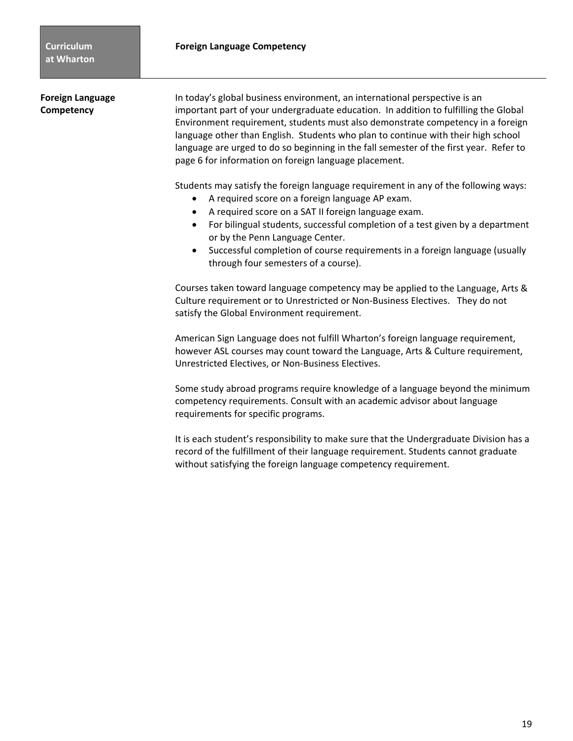**Foreign Language 1988** In today's global business environment, an international perspective is an **Competency** important part of your undergraduate education. In addition to fulfilling the Global Environment requirement, students must also demonstrate competency in a foreign language other than English. Students who plan to continue with their high school language are urged to do so beginning in the fall semester of the first year. Refer to page 6 for information on foreign language placement.

Students may satisfy the foreign language requirement in any of the following ways:

- A required score on a foreign language AP exam.
- A required score on a SAT II foreign language exam.
- For bilingual students, successful completion of a test given by a department or by the Penn Language Center.
- Successful completion of course requirements in a foreign language (usually through four semesters of a course).

Courses taken toward language competency may be applied to the Language, Arts & Culture requirement or to Unrestricted or Non‐Business Electives. They do not satisfy the Global Environment requirement.

American Sign Language does not fulfill Wharton's foreign language requirement, however ASL courses may count toward the Language, Arts & Culture requirement, Unrestricted Electives, or Non‐Business Electives.

Some study abroad programs require knowledge of a language beyond the minimum competency requirements. Consult with an academic advisor about language requirements for specific programs.

It is each student's responsibility to make sure that the Undergraduate Division has a record of the fulfillment of their language requirement. Students cannot graduate without satisfying the foreign language competency requirement.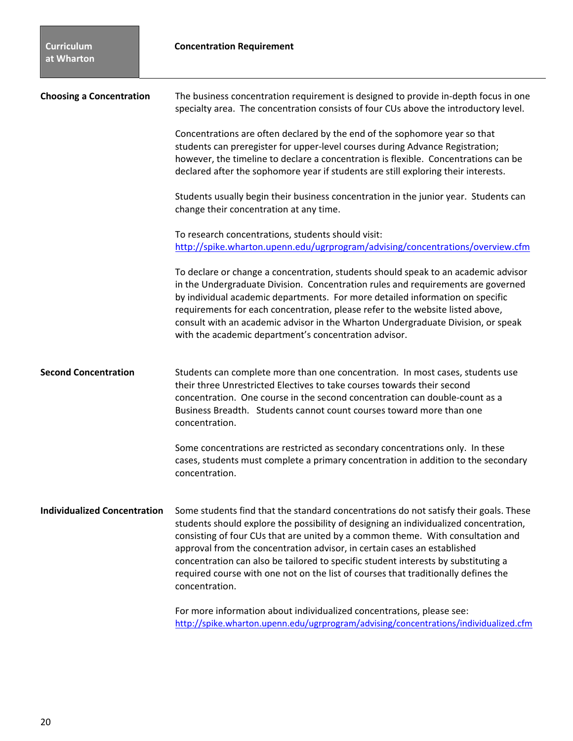| <b>Choosing a Concentration</b>     | The business concentration requirement is designed to provide in-depth focus in one<br>specialty area. The concentration consists of four CUs above the introductory level.                                                                                                                                                                                                                                                                                                                                                                 |
|-------------------------------------|---------------------------------------------------------------------------------------------------------------------------------------------------------------------------------------------------------------------------------------------------------------------------------------------------------------------------------------------------------------------------------------------------------------------------------------------------------------------------------------------------------------------------------------------|
|                                     | Concentrations are often declared by the end of the sophomore year so that<br>students can preregister for upper-level courses during Advance Registration;<br>however, the timeline to declare a concentration is flexible. Concentrations can be<br>declared after the sophomore year if students are still exploring their interests.                                                                                                                                                                                                    |
|                                     | Students usually begin their business concentration in the junior year. Students can<br>change their concentration at any time.                                                                                                                                                                                                                                                                                                                                                                                                             |
|                                     | To research concentrations, students should visit:<br>http://spike.wharton.upenn.edu/ugrprogram/advising/concentrations/overview.cfm                                                                                                                                                                                                                                                                                                                                                                                                        |
|                                     | To declare or change a concentration, students should speak to an academic advisor<br>in the Undergraduate Division. Concentration rules and requirements are governed<br>by individual academic departments. For more detailed information on specific<br>requirements for each concentration, please refer to the website listed above,<br>consult with an academic advisor in the Wharton Undergraduate Division, or speak<br>with the academic department's concentration advisor.                                                      |
| <b>Second Concentration</b>         | Students can complete more than one concentration. In most cases, students use<br>their three Unrestricted Electives to take courses towards their second<br>concentration. One course in the second concentration can double-count as a<br>Business Breadth. Students cannot count courses toward more than one<br>concentration.                                                                                                                                                                                                          |
|                                     | Some concentrations are restricted as secondary concentrations only. In these<br>cases, students must complete a primary concentration in addition to the secondary<br>concentration.                                                                                                                                                                                                                                                                                                                                                       |
| <b>Individualized Concentration</b> | Some students find that the standard concentrations do not satisfy their goals. These<br>students should explore the possibility of designing an individualized concentration,<br>consisting of four CUs that are united by a common theme. With consultation and<br>approval from the concentration advisor, in certain cases an established<br>concentration can also be tailored to specific student interests by substituting a<br>required course with one not on the list of courses that traditionally defines the<br>concentration. |
|                                     | For more information about individualized concentrations, please see:                                                                                                                                                                                                                                                                                                                                                                                                                                                                       |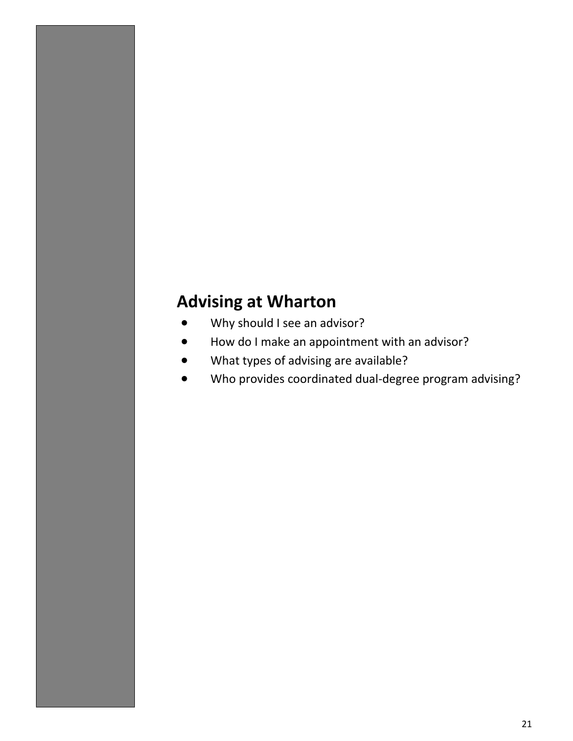# **Advising at Wharton**

- Why should I see an advisor?
- How do I make an appointment with an advisor?
- What types of advising are available?
- Who provides coordinated dual‐degree program advising?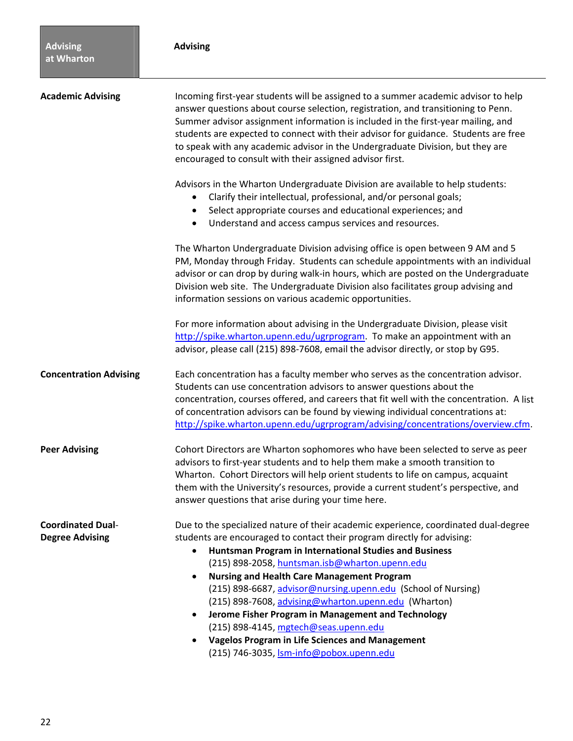| <b>Academic Advising</b>                           | Incoming first-year students will be assigned to a summer academic advisor to help<br>answer questions about course selection, registration, and transitioning to Penn.<br>Summer advisor assignment information is included in the first-year mailing, and<br>students are expected to connect with their advisor for guidance. Students are free<br>to speak with any academic advisor in the Undergraduate Division, but they are<br>encouraged to consult with their assigned advisor first.                                                                                                                                                                      |  |
|----------------------------------------------------|-----------------------------------------------------------------------------------------------------------------------------------------------------------------------------------------------------------------------------------------------------------------------------------------------------------------------------------------------------------------------------------------------------------------------------------------------------------------------------------------------------------------------------------------------------------------------------------------------------------------------------------------------------------------------|--|
|                                                    | Advisors in the Wharton Undergraduate Division are available to help students:<br>Clarify their intellectual, professional, and/or personal goals;<br>Select appropriate courses and educational experiences; and<br>$\bullet$<br>Understand and access campus services and resources.<br>$\bullet$                                                                                                                                                                                                                                                                                                                                                                   |  |
|                                                    | The Wharton Undergraduate Division advising office is open between 9 AM and 5<br>PM, Monday through Friday. Students can schedule appointments with an individual<br>advisor or can drop by during walk-in hours, which are posted on the Undergraduate<br>Division web site. The Undergraduate Division also facilitates group advising and<br>information sessions on various academic opportunities.                                                                                                                                                                                                                                                               |  |
|                                                    | For more information about advising in the Undergraduate Division, please visit<br>http://spike.wharton.upenn.edu/ugrprogram. To make an appointment with an<br>advisor, please call (215) 898-7608, email the advisor directly, or stop by G95.                                                                                                                                                                                                                                                                                                                                                                                                                      |  |
| <b>Concentration Advising</b>                      | Each concentration has a faculty member who serves as the concentration advisor.<br>Students can use concentration advisors to answer questions about the<br>concentration, courses offered, and careers that fit well with the concentration. A list<br>of concentration advisors can be found by viewing individual concentrations at:<br>http://spike.wharton.upenn.edu/ugrprogram/advising/concentrations/overview.cfm.                                                                                                                                                                                                                                           |  |
| <b>Peer Advising</b>                               | Cohort Directors are Wharton sophomores who have been selected to serve as peer<br>advisors to first-year students and to help them make a smooth transition to<br>Wharton. Cohort Directors will help orient students to life on campus, acquaint<br>them with the University's resources, provide a current student's perspective, and<br>answer questions that arise during your time here.                                                                                                                                                                                                                                                                        |  |
| <b>Coordinated Dual-</b><br><b>Degree Advising</b> | Due to the specialized nature of their academic experience, coordinated dual-degree<br>students are encouraged to contact their program directly for advising:<br>Huntsman Program in International Studies and Business<br>$\bullet$<br>(215) 898-2058, huntsman.isb@wharton.upenn.edu<br><b>Nursing and Health Care Management Program</b><br>$\bullet$<br>(215) 898-6687, advisor@nursing.upenn.edu (School of Nursing)<br>(215) 898-7608, advising@wharton.upenn.edu (Wharton)<br>Jerome Fisher Program in Management and Technology<br>$\bullet$<br>(215) 898-4145, mgtech@seas.upenn.edu<br><b>Vagelos Program in Life Sciences and Management</b><br>$\bullet$ |  |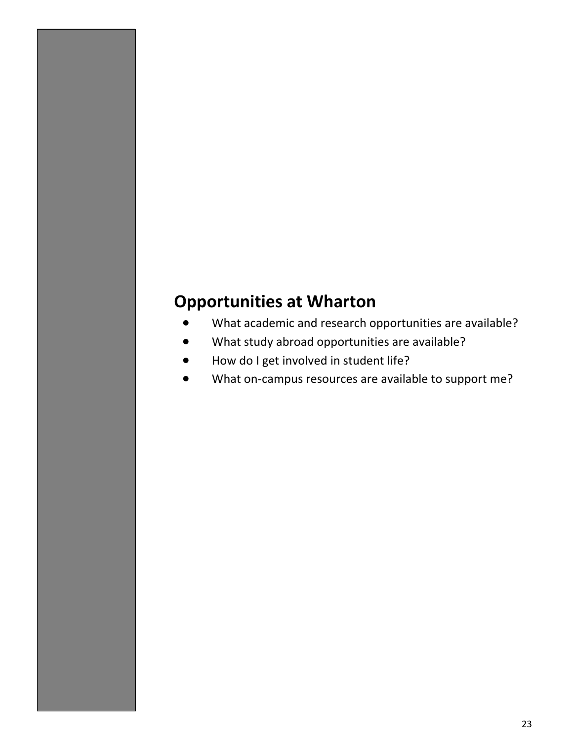# **Opportunities at Wharton**

- What academic and research opportunities are available?
- What study abroad opportunities are available?
- How do I get involved in student life?
- What on-campus resources are available to support me?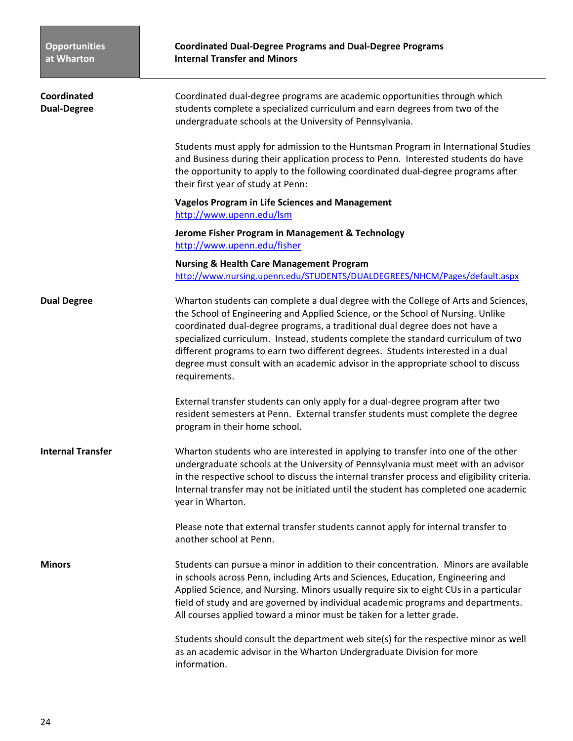| Coordinated<br><b>Dual-Degree</b> | Coordinated dual-degree programs are academic opportunities through which<br>students complete a specialized curriculum and earn degrees from two of the<br>undergraduate schools at the University of Pennsylvania.                                                                                                                                                                                                                                                                                                               |  |
|-----------------------------------|------------------------------------------------------------------------------------------------------------------------------------------------------------------------------------------------------------------------------------------------------------------------------------------------------------------------------------------------------------------------------------------------------------------------------------------------------------------------------------------------------------------------------------|--|
|                                   | Students must apply for admission to the Huntsman Program in International Studies<br>and Business during their application process to Penn. Interested students do have<br>the opportunity to apply to the following coordinated dual-degree programs after<br>their first year of study at Penn:                                                                                                                                                                                                                                 |  |
|                                   | <b>Vagelos Program in Life Sciences and Management</b><br>http://www.upenn.edu/lsm                                                                                                                                                                                                                                                                                                                                                                                                                                                 |  |
|                                   | Jerome Fisher Program in Management & Technology<br>http://www.upenn.edu/fisher                                                                                                                                                                                                                                                                                                                                                                                                                                                    |  |
|                                   | <b>Nursing &amp; Health Care Management Program</b><br>http://www.nursing.upenn.edu/STUDENTS/DUALDEGREES/NHCM/Pages/default.aspx                                                                                                                                                                                                                                                                                                                                                                                                   |  |
| <b>Dual Degree</b>                | Wharton students can complete a dual degree with the College of Arts and Sciences,<br>the School of Engineering and Applied Science, or the School of Nursing. Unlike<br>coordinated dual-degree programs, a traditional dual degree does not have a<br>specialized curriculum. Instead, students complete the standard curriculum of two<br>different programs to earn two different degrees. Students interested in a dual<br>degree must consult with an academic advisor in the appropriate school to discuss<br>requirements. |  |
|                                   | External transfer students can only apply for a dual-degree program after two<br>resident semesters at Penn. External transfer students must complete the degree<br>program in their home school.                                                                                                                                                                                                                                                                                                                                  |  |
| <b>Internal Transfer</b>          | Wharton students who are interested in applying to transfer into one of the other<br>undergraduate schools at the University of Pennsylvania must meet with an advisor<br>in the respective school to discuss the internal transfer process and eligibility criteria.<br>Internal transfer may not be initiated until the student has completed one academic<br>year in Wharton.                                                                                                                                                   |  |
|                                   | Please note that external transfer students cannot apply for internal transfer to<br>another school at Penn.                                                                                                                                                                                                                                                                                                                                                                                                                       |  |
| <b>Minors</b>                     | Students can pursue a minor in addition to their concentration. Minors are available<br>in schools across Penn, including Arts and Sciences, Education, Engineering and<br>Applied Science, and Nursing. Minors usually require six to eight CUs in a particular<br>field of study and are governed by individual academic programs and departments.<br>All courses applied toward a minor must be taken for a letter grade.                                                                                                       |  |
|                                   | Students should consult the department web site(s) for the respective minor as well<br>as an academic advisor in the Wharton Undergraduate Division for more<br>information.                                                                                                                                                                                                                                                                                                                                                       |  |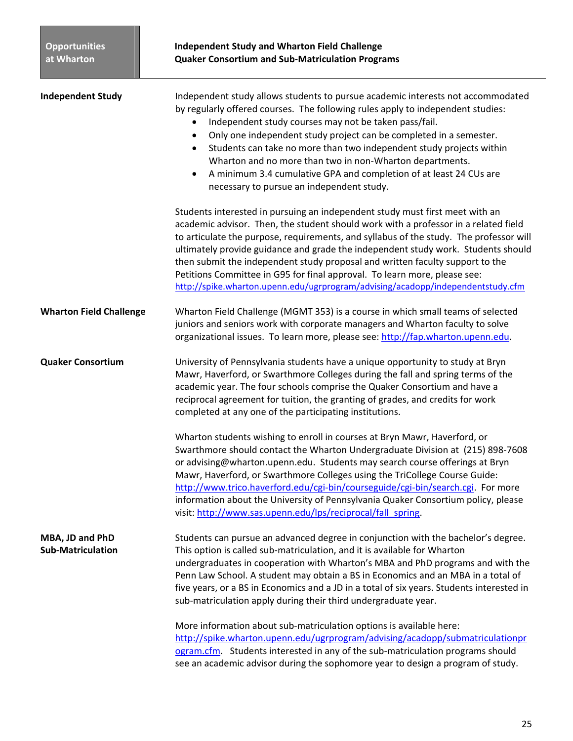| <b>Independent Study</b>                    | Independent study allows students to pursue academic interests not accommodated<br>by regularly offered courses. The following rules apply to independent studies:<br>Independent study courses may not be taken pass/fail.<br>$\bullet$<br>Only one independent study project can be completed in a semester.<br>$\bullet$<br>Students can take no more than two independent study projects within<br>$\bullet$<br>Wharton and no more than two in non-Wharton departments.<br>A minimum 3.4 cumulative GPA and completion of at least 24 CUs are<br>$\bullet$<br>necessary to pursue an independent study. |
|---------------------------------------------|--------------------------------------------------------------------------------------------------------------------------------------------------------------------------------------------------------------------------------------------------------------------------------------------------------------------------------------------------------------------------------------------------------------------------------------------------------------------------------------------------------------------------------------------------------------------------------------------------------------|
|                                             | Students interested in pursuing an independent study must first meet with an<br>academic advisor. Then, the student should work with a professor in a related field<br>to articulate the purpose, requirements, and syllabus of the study. The professor will<br>ultimately provide guidance and grade the independent study work. Students should<br>then submit the independent study proposal and written faculty support to the<br>Petitions Committee in G95 for final approval. To learn more, please see:<br>http://spike.wharton.upenn.edu/ugrprogram/advising/acadopp/independentstudy.cfm          |
| <b>Wharton Field Challenge</b>              | Wharton Field Challenge (MGMT 353) is a course in which small teams of selected<br>juniors and seniors work with corporate managers and Wharton faculty to solve<br>organizational issues. To learn more, please see: http://fap.wharton.upenn.edu.                                                                                                                                                                                                                                                                                                                                                          |
| <b>Quaker Consortium</b>                    | University of Pennsylvania students have a unique opportunity to study at Bryn<br>Mawr, Haverford, or Swarthmore Colleges during the fall and spring terms of the<br>academic year. The four schools comprise the Quaker Consortium and have a<br>reciprocal agreement for tuition, the granting of grades, and credits for work<br>completed at any one of the participating institutions.                                                                                                                                                                                                                  |
|                                             | Wharton students wishing to enroll in courses at Bryn Mawr, Haverford, or<br>Swarthmore should contact the Wharton Undergraduate Division at (215) 898-7608<br>or advising@wharton.upenn.edu. Students may search course offerings at Bryn<br>Mawr, Haverford, or Swarthmore Colleges using the TriCollege Course Guide:<br>http://www.trico.haverford.edu/cgi-bin/courseguide/cgi-bin/search.cgi. For more<br>information about the University of Pennsylvania Quaker Consortium policy, please<br>visit: http://www.sas.upenn.edu/lps/reciprocal/fall_spring.                                              |
| MBA, JD and PhD<br><b>Sub-Matriculation</b> | Students can pursue an advanced degree in conjunction with the bachelor's degree.<br>This option is called sub-matriculation, and it is available for Wharton<br>undergraduates in cooperation with Wharton's MBA and PhD programs and with the<br>Penn Law School. A student may obtain a BS in Economics and an MBA in a total of<br>five years, or a BS in Economics and a JD in a total of six years. Students interested in<br>sub-matriculation apply during their third undergraduate year.                                                                                                           |
|                                             | More information about sub-matriculation options is available here:<br>http://spike.wharton.upenn.edu/ugrprogram/advising/acadopp/submatriculationpr<br>ogram.cfm. Students interested in any of the sub-matriculation programs should<br>see an academic advisor during the sophomore year to design a program of study.                                                                                                                                                                                                                                                                                    |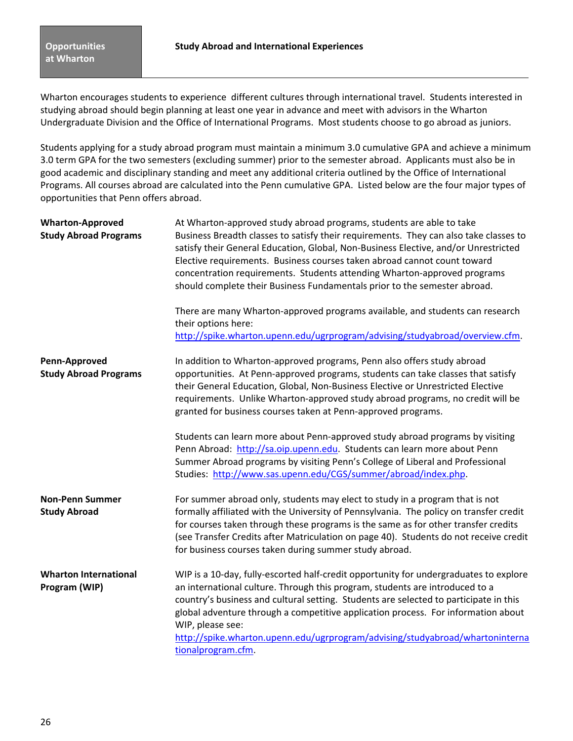Wharton encourages students to experience different cultures through international travel. Students interested in studying abroad should begin planning at least one year in advance and meet with advisors in the Wharton Undergraduate Division and the Office of International Programs. Most students choose to go abroad as juniors.

Students applying for a study abroad program must maintain a minimum 3.0 cumulative GPA and achieve a minimum 3.0 term GPA for the two semesters (excluding summer) prior to the semester abroad.Applicants must also be in good academic and disciplinary standing and meet any additional criteria outlined by the Office of International Programs. All courses abroad are calculated into the Penn cumulative GPA. Listed below are the four major types of opportunities that Penn offers abroad.

| <b>Wharton-Approved</b><br><b>Study Abroad Programs</b> | At Wharton-approved study abroad programs, students are able to take<br>Business Breadth classes to satisfy their requirements. They can also take classes to<br>satisfy their General Education, Global, Non-Business Elective, and/or Unrestricted<br>Elective requirements. Business courses taken abroad cannot count toward<br>concentration requirements. Students attending Wharton-approved programs<br>should complete their Business Fundamentals prior to the semester abroad. |  |
|---------------------------------------------------------|-------------------------------------------------------------------------------------------------------------------------------------------------------------------------------------------------------------------------------------------------------------------------------------------------------------------------------------------------------------------------------------------------------------------------------------------------------------------------------------------|--|
|                                                         | There are many Wharton-approved programs available, and students can research<br>their options here:<br>http://spike.wharton.upenn.edu/ugrprogram/advising/studyabroad/overview.cfm.                                                                                                                                                                                                                                                                                                      |  |
| Penn-Approved<br><b>Study Abroad Programs</b>           | In addition to Wharton-approved programs, Penn also offers study abroad<br>opportunities. At Penn-approved programs, students can take classes that satisfy<br>their General Education, Global, Non-Business Elective or Unrestricted Elective<br>requirements. Unlike Wharton-approved study abroad programs, no credit will be<br>granted for business courses taken at Penn-approved programs.                                                                                         |  |
|                                                         | Students can learn more about Penn-approved study abroad programs by visiting<br>Penn Abroad: http://sa.oip.upenn.edu. Students can learn more about Penn<br>Summer Abroad programs by visiting Penn's College of Liberal and Professional<br>Studies: http://www.sas.upenn.edu/CGS/summer/abroad/index.php.                                                                                                                                                                              |  |
| <b>Non-Penn Summer</b><br><b>Study Abroad</b>           | For summer abroad only, students may elect to study in a program that is not<br>formally affiliated with the University of Pennsylvania. The policy on transfer credit<br>for courses taken through these programs is the same as for other transfer credits<br>(see Transfer Credits after Matriculation on page 40). Students do not receive credit<br>for business courses taken during summer study abroad.                                                                           |  |
| <b>Wharton International</b><br>Program (WIP)           | WIP is a 10-day, fully-escorted half-credit opportunity for undergraduates to explore<br>an international culture. Through this program, students are introduced to a<br>country's business and cultural setting. Students are selected to participate in this<br>global adventure through a competitive application process. For information about<br>WIP, please see:<br>http://spike.wharton.upenn.edu/ugrprogram/advising/studyabroad/whartoninterna<br>tionalprogram.cfm.            |  |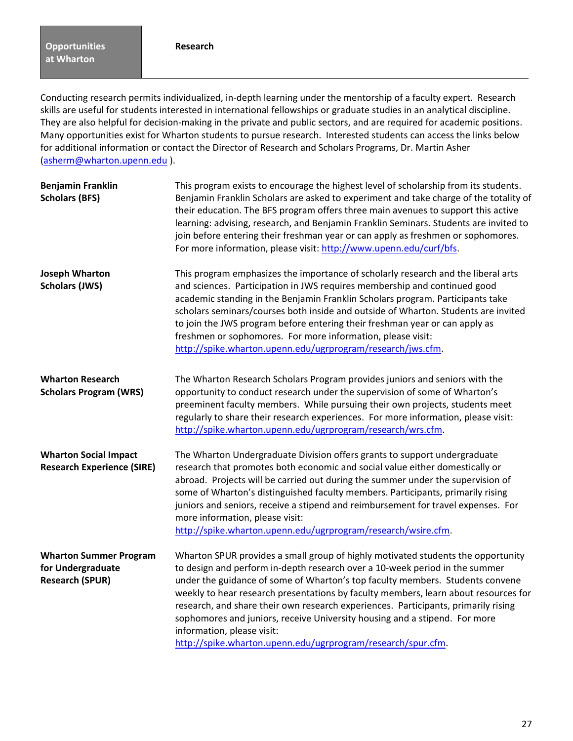Conducting research permits individualized, in‐depth learning under the mentorship of a faculty expert. Research skills are useful for students interested in international fellowships or graduate studies in an analytical discipline. They are also helpful for decision‐making in the private and public sectors, and are required for academic positions. Many opportunities exist for Wharton students to pursue research. Interested students can access the links below for additional information or contact the Director of Research and Scholars Programs, Dr. Martin Asher (asherm@wharton.upenn.edu ).

| <b>Benjamin Franklin</b><br><b>Scholars (BFS)</b>                            | This program exists to encourage the highest level of scholarship from its students.<br>Benjamin Franklin Scholars are asked to experiment and take charge of the totality of<br>their education. The BFS program offers three main avenues to support this active<br>learning: advising, research, and Benjamin Franklin Seminars. Students are invited to<br>join before entering their freshman year or can apply as freshmen or sophomores.<br>For more information, please visit: http://www.upenn.edu/curf/bfs.                                                                                     |
|------------------------------------------------------------------------------|-----------------------------------------------------------------------------------------------------------------------------------------------------------------------------------------------------------------------------------------------------------------------------------------------------------------------------------------------------------------------------------------------------------------------------------------------------------------------------------------------------------------------------------------------------------------------------------------------------------|
| <b>Joseph Wharton</b><br><b>Scholars (JWS)</b>                               | This program emphasizes the importance of scholarly research and the liberal arts<br>and sciences. Participation in JWS requires membership and continued good<br>academic standing in the Benjamin Franklin Scholars program. Participants take<br>scholars seminars/courses both inside and outside of Wharton. Students are invited<br>to join the JWS program before entering their freshman year or can apply as<br>freshmen or sophomores. For more information, please visit:<br>http://spike.wharton.upenn.edu/ugrprogram/research/jws.cfm.                                                       |
| <b>Wharton Research</b><br><b>Scholars Program (WRS)</b>                     | The Wharton Research Scholars Program provides juniors and seniors with the<br>opportunity to conduct research under the supervision of some of Wharton's<br>preeminent faculty members. While pursuing their own projects, students meet<br>regularly to share their research experiences. For more information, please visit:<br>http://spike.wharton.upenn.edu/ugrprogram/research/wrs.cfm.                                                                                                                                                                                                            |
| <b>Wharton Social Impact</b><br><b>Research Experience (SIRE)</b>            | The Wharton Undergraduate Division offers grants to support undergraduate<br>research that promotes both economic and social value either domestically or<br>abroad. Projects will be carried out during the summer under the supervision of<br>some of Wharton's distinguished faculty members. Participants, primarily rising<br>juniors and seniors, receive a stipend and reimbursement for travel expenses. For<br>more information, please visit:<br>http://spike.wharton.upenn.edu/ugrprogram/research/wsire.cfm.                                                                                  |
| <b>Wharton Summer Program</b><br>for Undergraduate<br><b>Research (SPUR)</b> | Wharton SPUR provides a small group of highly motivated students the opportunity<br>to design and perform in-depth research over a 10-week period in the summer<br>under the guidance of some of Wharton's top faculty members. Students convene<br>weekly to hear research presentations by faculty members, learn about resources for<br>research, and share their own research experiences. Participants, primarily rising<br>sophomores and juniors, receive University housing and a stipend. For more<br>information, please visit:<br>http://spike.wharton.upenn.edu/ugrprogram/research/spur.cfm. |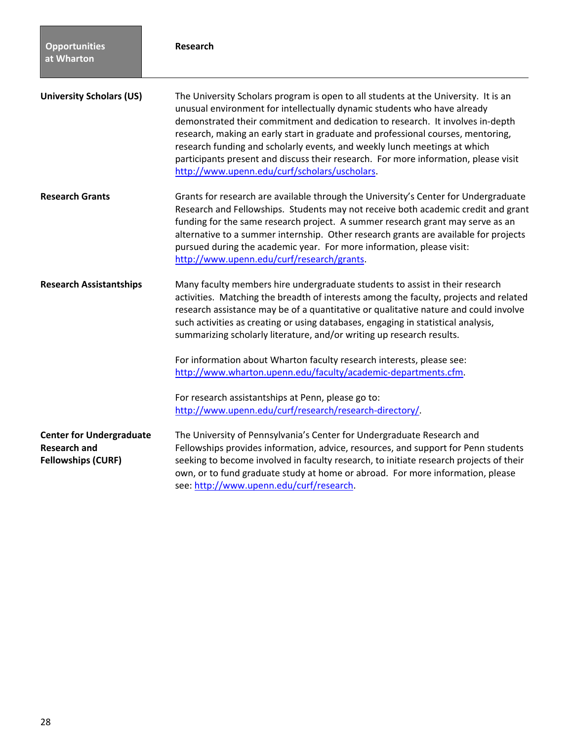| <b>Opportunities</b><br>at Wharton                                                  | <b>Research</b>                                                                                                                                                                                                                                                                                                                                                                                                                                                                                                                                                                                                                                                                        |
|-------------------------------------------------------------------------------------|----------------------------------------------------------------------------------------------------------------------------------------------------------------------------------------------------------------------------------------------------------------------------------------------------------------------------------------------------------------------------------------------------------------------------------------------------------------------------------------------------------------------------------------------------------------------------------------------------------------------------------------------------------------------------------------|
| <b>University Scholars (US)</b>                                                     | The University Scholars program is open to all students at the University. It is an<br>unusual environment for intellectually dynamic students who have already<br>demonstrated their commitment and dedication to research. It involves in-depth<br>research, making an early start in graduate and professional courses, mentoring,<br>research funding and scholarly events, and weekly lunch meetings at which<br>participants present and discuss their research. For more information, please visit<br>http://www.upenn.edu/curf/scholars/uscholars.                                                                                                                             |
| <b>Research Grants</b>                                                              | Grants for research are available through the University's Center for Undergraduate<br>Research and Fellowships. Students may not receive both academic credit and grant<br>funding for the same research project. A summer research grant may serve as an<br>alternative to a summer internship. Other research grants are available for projects<br>pursued during the academic year. For more information, please visit:<br>http://www.upenn.edu/curf/research/grants.                                                                                                                                                                                                              |
| <b>Research Assistantships</b>                                                      | Many faculty members hire undergraduate students to assist in their research<br>activities. Matching the breadth of interests among the faculty, projects and related<br>research assistance may be of a quantitative or qualitative nature and could involve<br>such activities as creating or using databases, engaging in statistical analysis,<br>summarizing scholarly literature, and/or writing up research results.<br>For information about Wharton faculty research interests, please see:<br>http://www.wharton.upenn.edu/faculty/academic-departments.cfm.<br>For research assistantships at Penn, please go to:<br>http://www.upenn.edu/curf/research/research-directory/ |
| <b>Center for Undergraduate</b><br><b>Research and</b><br><b>Fellowships (CURF)</b> | The University of Pennsylvania's Center for Undergraduate Research and<br>Fellowships provides information, advice, resources, and support for Penn students<br>seeking to become involved in faculty research, to initiate research projects of their<br>own, or to fund graduate study at home or abroad. For more information, please<br>see: http://www.upenn.edu/curf/research.                                                                                                                                                                                                                                                                                                   |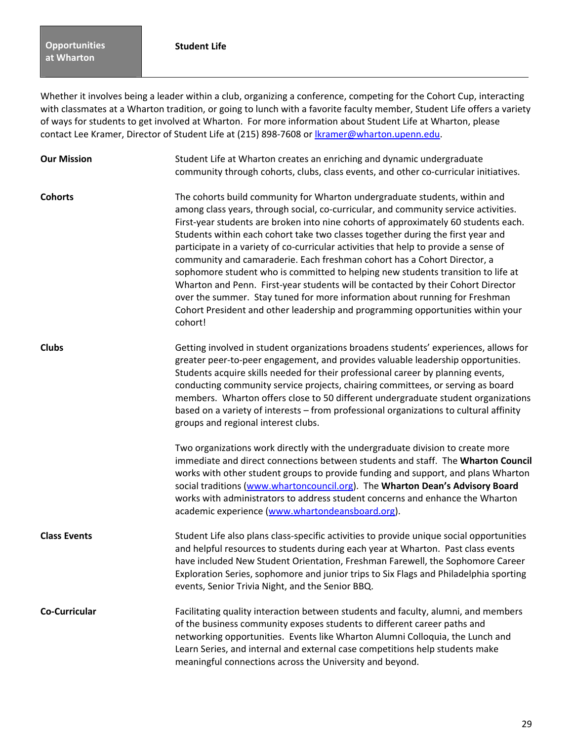Whether it involves being a leader within a club, organizing a conference, competing for the Cohort Cup, interacting with classmates at a Wharton tradition, or going to lunch with a favorite faculty member, Student Life offers a variety of ways for students to get involved at Wharton. For more information about Student Life at Wharton, please contact Lee Kramer, Director of Student Life at (215) 898-7608 or lkramer@wharton.upenn.edu.

| <b>Our Mission</b>   | Student Life at Wharton creates an enriching and dynamic undergraduate<br>community through cohorts, clubs, class events, and other co-curricular initiatives.                                                                                                                                                                                                                                                                                                                                                                                                                                                                                                                                                                                                                                                                                                       |
|----------------------|----------------------------------------------------------------------------------------------------------------------------------------------------------------------------------------------------------------------------------------------------------------------------------------------------------------------------------------------------------------------------------------------------------------------------------------------------------------------------------------------------------------------------------------------------------------------------------------------------------------------------------------------------------------------------------------------------------------------------------------------------------------------------------------------------------------------------------------------------------------------|
| <b>Cohorts</b>       | The cohorts build community for Wharton undergraduate students, within and<br>among class years, through social, co-curricular, and community service activities.<br>First-year students are broken into nine cohorts of approximately 60 students each.<br>Students within each cohort take two classes together during the first year and<br>participate in a variety of co-curricular activities that help to provide a sense of<br>community and camaraderie. Each freshman cohort has a Cohort Director, a<br>sophomore student who is committed to helping new students transition to life at<br>Wharton and Penn. First-year students will be contacted by their Cohort Director<br>over the summer. Stay tuned for more information about running for Freshman<br>Cohort President and other leadership and programming opportunities within your<br>cohort! |
| <b>Clubs</b>         | Getting involved in student organizations broadens students' experiences, allows for<br>greater peer-to-peer engagement, and provides valuable leadership opportunities.<br>Students acquire skills needed for their professional career by planning events,<br>conducting community service projects, chairing committees, or serving as board<br>members. Wharton offers close to 50 different undergraduate student organizations<br>based on a variety of interests - from professional organizations to cultural affinity<br>groups and regional interest clubs.                                                                                                                                                                                                                                                                                                |
|                      | Two organizations work directly with the undergraduate division to create more<br>immediate and direct connections between students and staff. The Wharton Council<br>works with other student groups to provide funding and support, and plans Wharton<br>social traditions (www.whartoncouncil.org). The Wharton Dean's Advisory Board<br>works with administrators to address student concerns and enhance the Wharton<br>academic experience (www.whartondeansboard.org).                                                                                                                                                                                                                                                                                                                                                                                        |
| <b>Class Events</b>  | Student Life also plans class-specific activities to provide unique social opportunities<br>and helpful resources to students during each year at Wharton. Past class events<br>have included New Student Orientation, Freshman Farewell, the Sophomore Career<br>Exploration Series, sophomore and junior trips to Six Flags and Philadelphia sporting<br>events, Senior Trivia Night, and the Senior BBQ.                                                                                                                                                                                                                                                                                                                                                                                                                                                          |
| <b>Co-Curricular</b> | Facilitating quality interaction between students and faculty, alumni, and members<br>of the business community exposes students to different career paths and<br>networking opportunities. Events like Wharton Alumni Colloquia, the Lunch and<br>Learn Series, and internal and external case competitions help students make<br>meaningful connections across the University and beyond.                                                                                                                                                                                                                                                                                                                                                                                                                                                                          |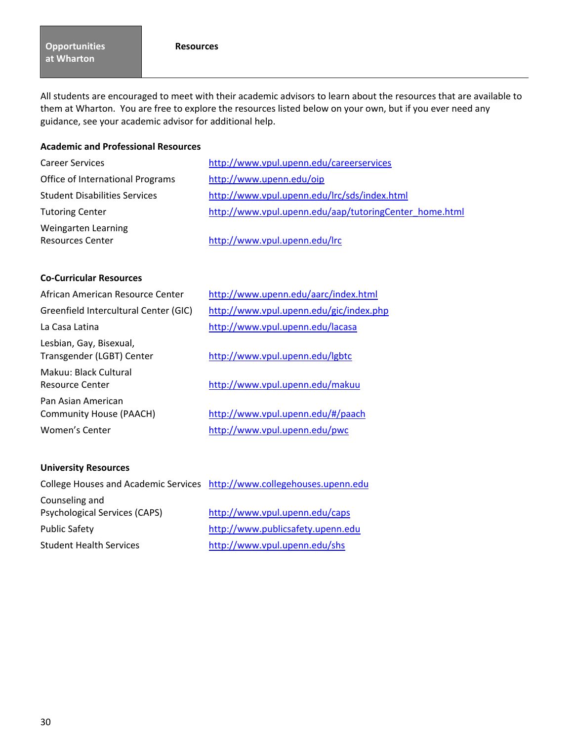#### **Resources**

All students are encouraged to meet with their academic advisors to learn about the resources that are available to them at Wharton. You are free to explore the resources listed below on your own, but if you ever need any guidance, see your academic advisor for additional help.

## **Academic and Professional Resources**

| <b>Career Services</b>               | http://www.vpul.upenn.edu/careerservices               |
|--------------------------------------|--------------------------------------------------------|
| Office of International Programs     | http://www.upenn.edu/oip                               |
| <b>Student Disabilities Services</b> | http://www.vpul.upenn.edu/lrc/sds/index.html           |
| <b>Tutoring Center</b>               | http://www.vpul.upenn.edu/aap/tutoringCenter home.html |
| Weingarten Learning                  |                                                        |
| <b>Resources Center</b>              | http://www.vpul.upenn.edu/lrc                          |

## **Co‐Curricular Resources**

| African American Resource Center                     | http://www.upenn.edu/aarc/index.html    |
|------------------------------------------------------|-----------------------------------------|
| Greenfield Intercultural Center (GIC)                | http://www.vpul.upenn.edu/gic/index.php |
| La Casa Latina                                       | http://www.vpul.upenn.edu/lacasa        |
| Lesbian, Gay, Bisexual,<br>Transgender (LGBT) Center | http://www.vpul.upenn.edu/lgbtc         |
| Makuu: Black Cultural<br>Resource Center             | http://www.vpul.upenn.edu/makuu         |
| Pan Asian American<br><b>Community House (PAACH)</b> | http://www.vpul.upenn.edu/#/paach       |
| Women's Center                                       | http://www.vpul.upenn.edu/pwc           |
|                                                      |                                         |

## **University Resources**

| College Houses and Academic Services http://www.collegehouses.upenn.edu |                                   |
|-------------------------------------------------------------------------|-----------------------------------|
| Counseling and                                                          |                                   |
| Psychological Services (CAPS)                                           | http://www.vpul.upenn.edu/caps    |
| <b>Public Safety</b>                                                    | http://www.publicsafety.upenn.edu |
| <b>Student Health Services</b>                                          | http://www.vpul.upenn.edu/shs     |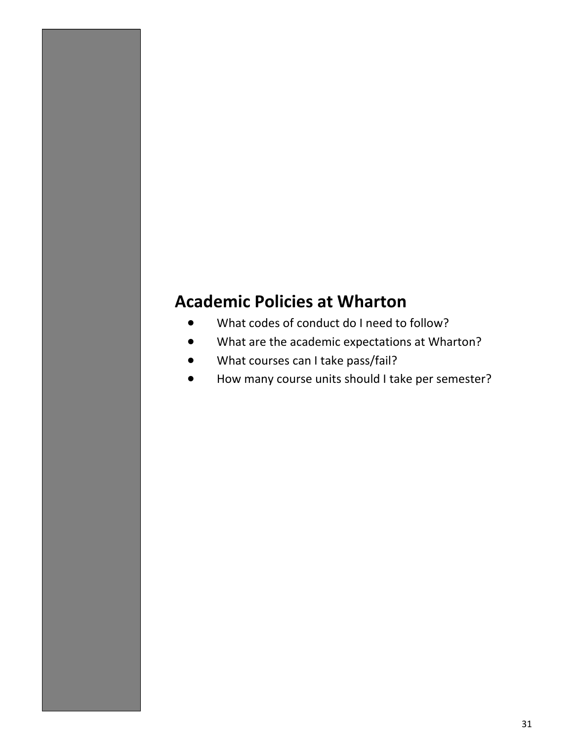# **Academic Policies at Wharton**

- What codes of conduct do I need to follow?
- What are the academic expectations at Wharton?
- What courses can I take pass/fail?
- How many course units should I take per semester?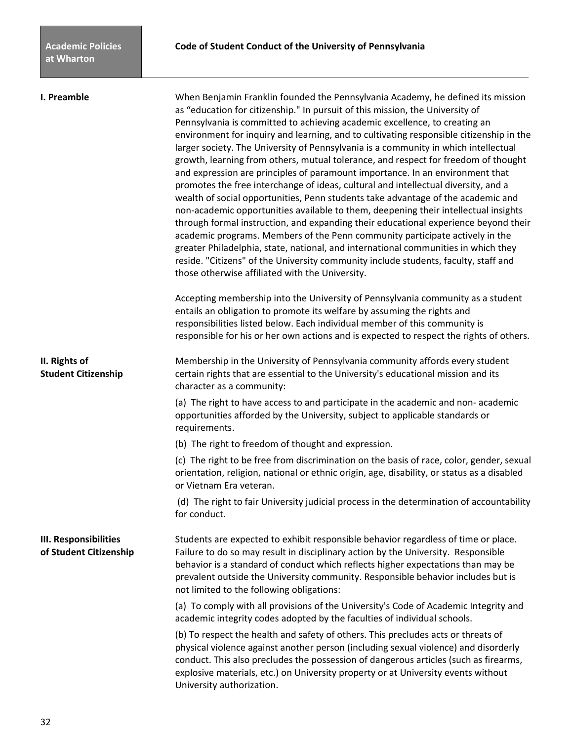**I. Preamble** When Benjamin Franklin founded the Pennsylvania Academy, he defined its mission as "education for citizenship." In pursuit of this mission, the University of Pennsylvania is committed to achieving academic excellence, to creating an environment for inquiry and learning, and to cultivating responsible citizenship in the larger society. The University of Pennsylvania is a community in which intellectual growth, learning from others, mutual tolerance, and respect for freedom of thought and expression are principles of paramount importance. In an environment that promotes the free interchange of ideas, cultural and intellectual diversity, and a wealth of social opportunities, Penn students take advantage of the academic and non‐academic opportunities available to them, deepening their intellectual insights through formal instruction, and expanding their educational experience beyond their academic programs. Members of the Penn community participate actively in the greater Philadelphia, state, national, and international communities in which they reside. "Citizens" of the University community include students, faculty, staff and those otherwise affiliated with the University.

> Accepting membership into the University of Pennsylvania community as a student entails an obligation to promote its welfare by assuming the rights and responsibilities listed below. Each individual member of this community is responsible for his or her own actions and is expected to respect the rights of others.

**II. Rights of** *CON CON Membership in the University of Pennsylvania community affords every student* **Student Citizenship certain rights that are essential to the University's educational mission and its** character as a community:

> (a) The right to have access to and participate in the academic and non‐ academic opportunities afforded by the University, subject to applicable standards or requirements.

(b) The right to freedom of thought and expression.

(c) The right to be free from discrimination on the basis of race, color, gender, sexual orientation, religion, national or ethnic origin, age, disability, or status as a disabled or Vietnam Era veteran.

(d) The right to fair University judicial process in the determination of accountability for conduct.

**III. Responsibilities** Students are expected to exhibit responsible behavior regardless of time or place. **of Student Citizenship** Failure to do so may result in disciplinary action by the University. Responsible behavior is a standard of conduct which reflects higher expectations than may be prevalent outside the University community. Responsible behavior includes but is not limited to the following obligations:

> (a) To comply with all provisions of the University's Code of Academic Integrity and academic integrity codes adopted by the faculties of individual schools.

> (b) To respect the health and safety of others. This precludes acts or threats of physical violence against another person (including sexual violence) and disorderly conduct. This also precludes the possession of dangerous articles (such as firearms, explosive materials, etc.) on University property or at University events without University authorization.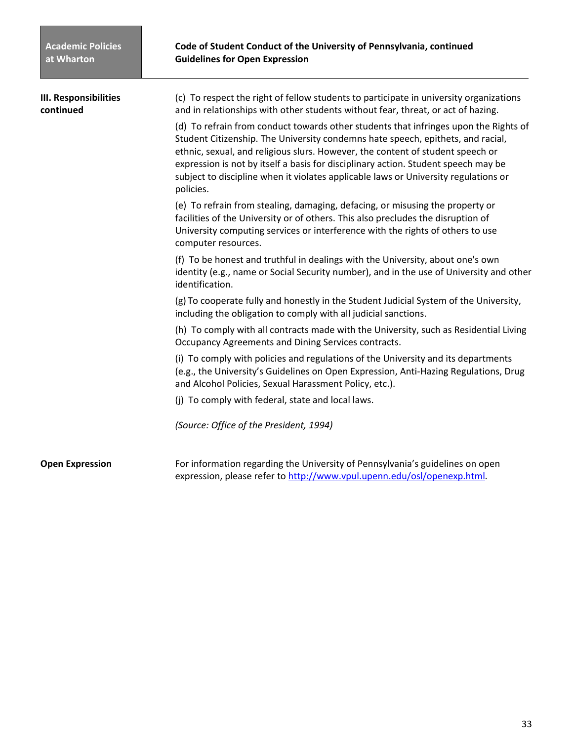| <b>III. Responsibilities</b><br>continued | (c) To respect the right of fellow students to participate in university organizations<br>and in relationships with other students without fear, threat, or act of hazing.                                                                                                                                                                                                                                                                          |
|-------------------------------------------|-----------------------------------------------------------------------------------------------------------------------------------------------------------------------------------------------------------------------------------------------------------------------------------------------------------------------------------------------------------------------------------------------------------------------------------------------------|
|                                           | (d) To refrain from conduct towards other students that infringes upon the Rights of<br>Student Citizenship. The University condemns hate speech, epithets, and racial,<br>ethnic, sexual, and religious slurs. However, the content of student speech or<br>expression is not by itself a basis for disciplinary action. Student speech may be<br>subject to discipline when it violates applicable laws or University regulations or<br>policies. |
|                                           | (e) To refrain from stealing, damaging, defacing, or misusing the property or<br>facilities of the University or of others. This also precludes the disruption of<br>University computing services or interference with the rights of others to use<br>computer resources.                                                                                                                                                                          |
|                                           | (f) To be honest and truthful in dealings with the University, about one's own<br>identity (e.g., name or Social Security number), and in the use of University and other<br>identification.                                                                                                                                                                                                                                                        |
|                                           | (g) To cooperate fully and honestly in the Student Judicial System of the University,<br>including the obligation to comply with all judicial sanctions.                                                                                                                                                                                                                                                                                            |
|                                           | (h) To comply with all contracts made with the University, such as Residential Living<br>Occupancy Agreements and Dining Services contracts.                                                                                                                                                                                                                                                                                                        |
|                                           | (i) To comply with policies and regulations of the University and its departments<br>(e.g., the University's Guidelines on Open Expression, Anti-Hazing Regulations, Drug<br>and Alcohol Policies, Sexual Harassment Policy, etc.).                                                                                                                                                                                                                 |
|                                           | (j) To comply with federal, state and local laws.                                                                                                                                                                                                                                                                                                                                                                                                   |
|                                           | (Source: Office of the President, 1994)                                                                                                                                                                                                                                                                                                                                                                                                             |
| <b>Open Expression</b>                    | For information regarding the University of Pennsylvania's guidelines on open<br>expression, please refer to http://www.vpul.upenn.edu/osl/openexp.html.                                                                                                                                                                                                                                                                                            |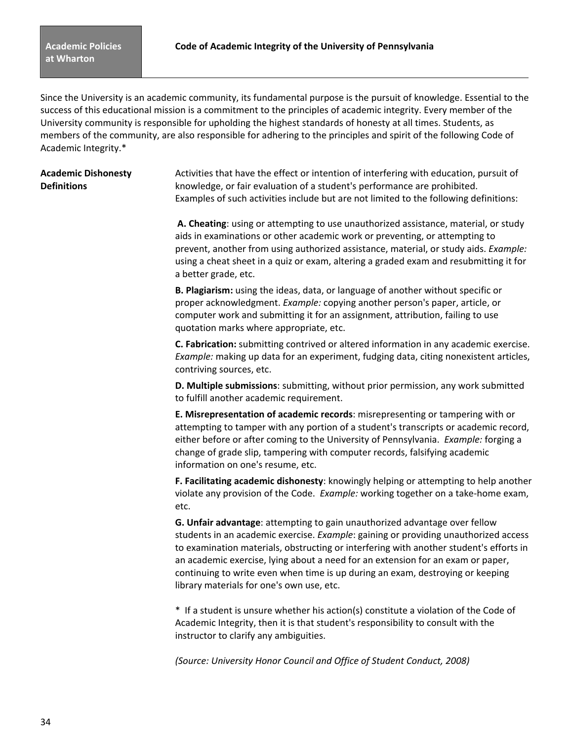Since the University is an academic community, its fundamental purpose is the pursuit of knowledge. Essential to the success of this educational mission is a commitment to the principles of academic integrity. Every member of the University community is responsible for upholding the highest standards of honesty at all times. Students, as members of the community, are also responsible for adhering to the principles and spirit of the following Code of Academic Integrity.\*

**Academic Dishonesty** Activities that have the effect or intention of interfering with education, pursuit of **Definitions** knowledge, or fair evaluation of a student's performance are prohibited. Examples of such activities include but are not limited to the following definitions:

> **A. Cheating**: using or attempting to use unauthorized assistance, material, or study aids in examinations or other academic work or preventing, or attempting to prevent, another from using authorized assistance, material, or study aids. *Example:* using a cheat sheet in a quiz or exam, altering a graded exam and resubmitting it for a better grade, etc.

**B. Plagiarism:** using the ideas, data, or language of another without specific or proper acknowledgment. *Example:* copying another person's paper, article, or computer work and submitting it for an assignment, attribution, failing to use quotation marks where appropriate, etc.

**C. Fabrication:** submitting contrived or altered information in any academic exercise. *Example:* making up data for an experiment, fudging data, citing nonexistent articles, contriving sources, etc.

**D. Multiple submissions**: submitting, without prior permission, any work submitted to fulfill another academic requirement.

**E. Misrepresentation of academic records**: misrepresenting or tampering with or attempting to tamper with any portion of a student's transcripts or academic record, either before or after coming to the University of Pennsylvania. *Example:* forging a change of grade slip, tampering with computer records, falsifying academic information on one's resume, etc.

**F. Facilitating academic dishonesty**: knowingly helping or attempting to help another violate any provision of the Code. *Example:* working together on a take-home exam, etc.

**G. Unfair advantage**: attempting to gain unauthorized advantage over fellow students in an academic exercise. *Example*: gaining or providing unauthorized access to examination materials, obstructing or interfering with another student's efforts in an academic exercise, lying about a need for an extension for an exam or paper, continuing to write even when time is up during an exam, destroying or keeping library materials for one's own use, etc.

\* If a student is unsure whether his action(s) constitute a violation of the Code of Academic Integrity, then it is that student's responsibility to consult with the instructor to clarify any ambiguities.

*(Source: University Honor Council and Office of Student Conduct, 2008)*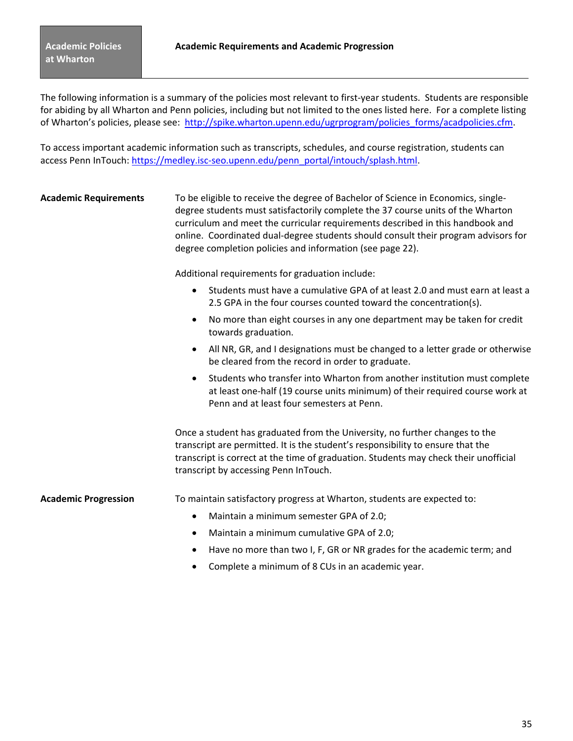The following information is a summary of the policies most relevant to first-year students. Students are responsible for abiding by all Wharton and Penn policies, including but not limited to the ones listed here. For a complete listing of Wharton's policies, please see: http://spike.wharton.upenn.edu/ugrprogram/policies\_forms/acadpolicies.cfm.

To access important academic information such as transcripts, schedules, and course registration, students can access Penn InTouch: https://medley.isc-seo.upenn.edu/penn\_portal/intouch/splash.html.

| <b>Academic Requirements</b> | To be eligible to receive the degree of Bachelor of Science in Economics, single-<br>degree students must satisfactorily complete the 37 course units of the Wharton<br>curriculum and meet the curricular requirements described in this handbook and<br>online. Coordinated dual-degree students should consult their program advisors for<br>degree completion policies and information (see page 22). |
|------------------------------|-----------------------------------------------------------------------------------------------------------------------------------------------------------------------------------------------------------------------------------------------------------------------------------------------------------------------------------------------------------------------------------------------------------|
|                              | Additional requirements for graduation include:                                                                                                                                                                                                                                                                                                                                                           |
|                              | Students must have a cumulative GPA of at least 2.0 and must earn at least a<br>$\bullet$<br>2.5 GPA in the four courses counted toward the concentration(s).                                                                                                                                                                                                                                             |
|                              | No more than eight courses in any one department may be taken for credit<br>$\bullet$<br>towards graduation.                                                                                                                                                                                                                                                                                              |
|                              | All NR, GR, and I designations must be changed to a letter grade or otherwise<br>$\bullet$<br>be cleared from the record in order to graduate.                                                                                                                                                                                                                                                            |
|                              | Students who transfer into Wharton from another institution must complete<br>$\bullet$<br>at least one-half (19 course units minimum) of their required course work at<br>Penn and at least four semesters at Penn.                                                                                                                                                                                       |
|                              | Once a student has graduated from the University, no further changes to the<br>transcript are permitted. It is the student's responsibility to ensure that the<br>transcript is correct at the time of graduation. Students may check their unofficial<br>transcript by accessing Penn InTouch.                                                                                                           |
| <b>Academic Progression</b>  | To maintain satisfactory progress at Wharton, students are expected to:                                                                                                                                                                                                                                                                                                                                   |
|                              | Maintain a minimum semester GPA of 2.0;<br>$\bullet$                                                                                                                                                                                                                                                                                                                                                      |
|                              | Maintain a minimum cumulative GPA of 2.0;<br>$\bullet$                                                                                                                                                                                                                                                                                                                                                    |
|                              | Have no more than two I, F, GR or NR grades for the academic term; and<br>٠                                                                                                                                                                                                                                                                                                                               |
|                              | Complete a minimum of 8 CUs in an academic year.<br>٠                                                                                                                                                                                                                                                                                                                                                     |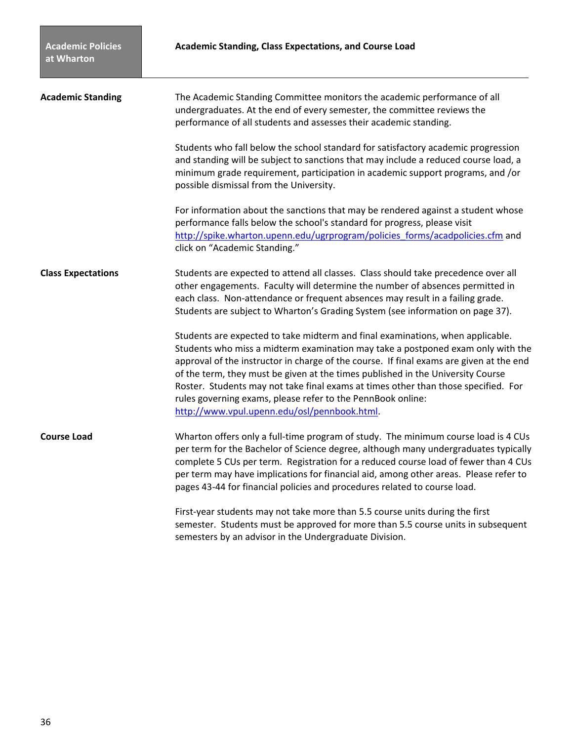| <b>Academic Standing</b>  | The Academic Standing Committee monitors the academic performance of all                                                                                                                                                                                                                                                                                                                                                                                                                                                                             |
|---------------------------|------------------------------------------------------------------------------------------------------------------------------------------------------------------------------------------------------------------------------------------------------------------------------------------------------------------------------------------------------------------------------------------------------------------------------------------------------------------------------------------------------------------------------------------------------|
|                           | undergraduates. At the end of every semester, the committee reviews the<br>performance of all students and assesses their academic standing.                                                                                                                                                                                                                                                                                                                                                                                                         |
|                           | Students who fall below the school standard for satisfactory academic progression<br>and standing will be subject to sanctions that may include a reduced course load, a<br>minimum grade requirement, participation in academic support programs, and /or<br>possible dismissal from the University.                                                                                                                                                                                                                                                |
|                           | For information about the sanctions that may be rendered against a student whose<br>performance falls below the school's standard for progress, please visit<br>http://spike.wharton.upenn.edu/ugrprogram/policies forms/acadpolicies.cfm and<br>click on "Academic Standing."                                                                                                                                                                                                                                                                       |
| <b>Class Expectations</b> | Students are expected to attend all classes. Class should take precedence over all<br>other engagements. Faculty will determine the number of absences permitted in<br>each class. Non-attendance or frequent absences may result in a failing grade.<br>Students are subject to Wharton's Grading System (see information on page 37).                                                                                                                                                                                                              |
|                           | Students are expected to take midterm and final examinations, when applicable.<br>Students who miss a midterm examination may take a postponed exam only with the<br>approval of the instructor in charge of the course. If final exams are given at the end<br>of the term, they must be given at the times published in the University Course<br>Roster. Students may not take final exams at times other than those specified. For<br>rules governing exams, please refer to the PennBook online:<br>http://www.vpul.upenn.edu/osl/pennbook.html. |
| <b>Course Load</b>        | Wharton offers only a full-time program of study. The minimum course load is 4 CUs<br>per term for the Bachelor of Science degree, although many undergraduates typically<br>complete 5 CUs per term. Registration for a reduced course load of fewer than 4 CUs<br>per term may have implications for financial aid, among other areas. Please refer to<br>pages 43-44 for financial policies and procedures related to course load.                                                                                                                |
|                           | First-year students may not take more than 5.5 course units during the first<br>semester. Students must be approved for more than 5.5 course units in subsequent<br>semesters by an advisor in the Undergraduate Division.                                                                                                                                                                                                                                                                                                                           |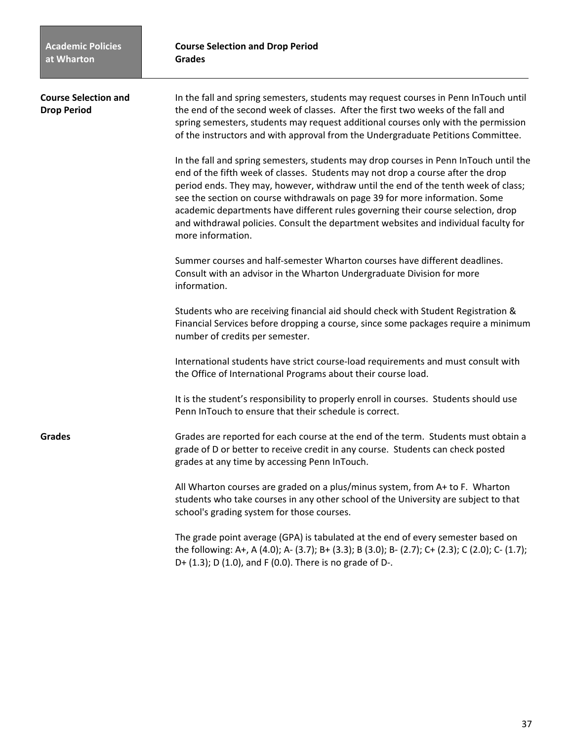| <b>Course Selection and</b><br><b>Drop Period</b> | In the fall and spring semesters, students may request courses in Penn InTouch until<br>the end of the second week of classes. After the first two weeks of the fall and<br>spring semesters, students may request additional courses only with the permission<br>of the instructors and with approval from the Undergraduate Petitions Committee.                                                                                                                                                                                            |
|---------------------------------------------------|-----------------------------------------------------------------------------------------------------------------------------------------------------------------------------------------------------------------------------------------------------------------------------------------------------------------------------------------------------------------------------------------------------------------------------------------------------------------------------------------------------------------------------------------------|
|                                                   | In the fall and spring semesters, students may drop courses in Penn InTouch until the<br>end of the fifth week of classes. Students may not drop a course after the drop<br>period ends. They may, however, withdraw until the end of the tenth week of class;<br>see the section on course withdrawals on page 39 for more information. Some<br>academic departments have different rules governing their course selection, drop<br>and withdrawal policies. Consult the department websites and individual faculty for<br>more information. |
|                                                   | Summer courses and half-semester Wharton courses have different deadlines.<br>Consult with an advisor in the Wharton Undergraduate Division for more<br>information.                                                                                                                                                                                                                                                                                                                                                                          |
|                                                   | Students who are receiving financial aid should check with Student Registration &<br>Financial Services before dropping a course, since some packages require a minimum<br>number of credits per semester.                                                                                                                                                                                                                                                                                                                                    |
|                                                   | International students have strict course-load requirements and must consult with<br>the Office of International Programs about their course load.                                                                                                                                                                                                                                                                                                                                                                                            |
|                                                   | It is the student's responsibility to properly enroll in courses. Students should use<br>Penn InTouch to ensure that their schedule is correct.                                                                                                                                                                                                                                                                                                                                                                                               |
| <b>Grades</b>                                     | Grades are reported for each course at the end of the term. Students must obtain a<br>grade of D or better to receive credit in any course. Students can check posted<br>grades at any time by accessing Penn InTouch.                                                                                                                                                                                                                                                                                                                        |
|                                                   | All Wharton courses are graded on a plus/minus system, from A+ to F. Wharton<br>students who take courses in any other school of the University are subject to that<br>school's grading system for those courses.                                                                                                                                                                                                                                                                                                                             |
|                                                   | The grade point average (GPA) is tabulated at the end of every semester based on<br>the following: A+, A (4.0); A- (3.7); B+ (3.3); B (3.0); B- (2.7); C+ (2.3); C (2.0); C- (1.7);<br>D+ $(1.3)$ ; D $(1.0)$ , and F $(0.0)$ . There is no grade of D-.                                                                                                                                                                                                                                                                                      |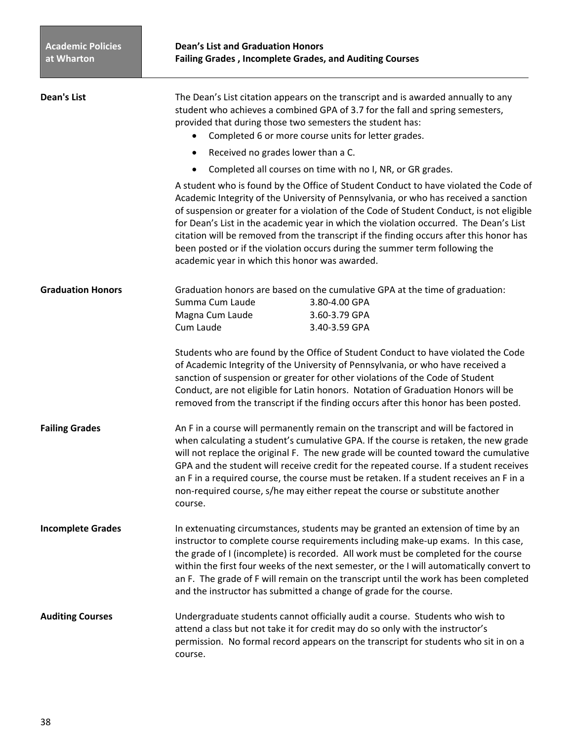| <b>Dean's List</b>       | The Dean's List citation appears on the transcript and is awarded annually to any<br>student who achieves a combined GPA of 3.7 for the fall and spring semesters,<br>provided that during those two semesters the student has:<br>Completed 6 or more course units for letter grades.                                                                                                                                                                                                                                                                                                        |
|--------------------------|-----------------------------------------------------------------------------------------------------------------------------------------------------------------------------------------------------------------------------------------------------------------------------------------------------------------------------------------------------------------------------------------------------------------------------------------------------------------------------------------------------------------------------------------------------------------------------------------------|
|                          | Received no grades lower than a C.<br>$\bullet$                                                                                                                                                                                                                                                                                                                                                                                                                                                                                                                                               |
|                          | Completed all courses on time with no I, NR, or GR grades.<br>$\bullet$                                                                                                                                                                                                                                                                                                                                                                                                                                                                                                                       |
|                          | A student who is found by the Office of Student Conduct to have violated the Code of<br>Academic Integrity of the University of Pennsylvania, or who has received a sanction<br>of suspension or greater for a violation of the Code of Student Conduct, is not eligible<br>for Dean's List in the academic year in which the violation occurred. The Dean's List<br>citation will be removed from the transcript if the finding occurs after this honor has<br>been posted or if the violation occurs during the summer term following the<br>academic year in which this honor was awarded. |
| <b>Graduation Honors</b> | Graduation honors are based on the cumulative GPA at the time of graduation:<br>3.80-4.00 GPA<br>Summa Cum Laude<br>Magna Cum Laude<br>3.60-3.79 GPA<br>Cum Laude<br>3.40-3.59 GPA                                                                                                                                                                                                                                                                                                                                                                                                            |
|                          | Students who are found by the Office of Student Conduct to have violated the Code<br>of Academic Integrity of the University of Pennsylvania, or who have received a<br>sanction of suspension or greater for other violations of the Code of Student<br>Conduct, are not eligible for Latin honors. Notation of Graduation Honors will be<br>removed from the transcript if the finding occurs after this honor has been posted.                                                                                                                                                             |
| <b>Failing Grades</b>    | An F in a course will permanently remain on the transcript and will be factored in<br>when calculating a student's cumulative GPA. If the course is retaken, the new grade<br>will not replace the original F. The new grade will be counted toward the cumulative<br>GPA and the student will receive credit for the repeated course. If a student receives<br>an F in a required course, the course must be retaken. If a student receives an F in a<br>non-required course, s/he may either repeat the course or substitute another<br>course.                                             |
| <b>Incomplete Grades</b> | In extenuating circumstances, students may be granted an extension of time by an<br>instructor to complete course requirements including make-up exams. In this case,<br>the grade of I (incomplete) is recorded. All work must be completed for the course<br>within the first four weeks of the next semester, or the I will automatically convert to<br>an F. The grade of F will remain on the transcript until the work has been completed<br>and the instructor has submitted a change of grade for the course.                                                                         |
| <b>Auditing Courses</b>  | Undergraduate students cannot officially audit a course. Students who wish to<br>attend a class but not take it for credit may do so only with the instructor's<br>permission. No formal record appears on the transcript for students who sit in on a<br>course.                                                                                                                                                                                                                                                                                                                             |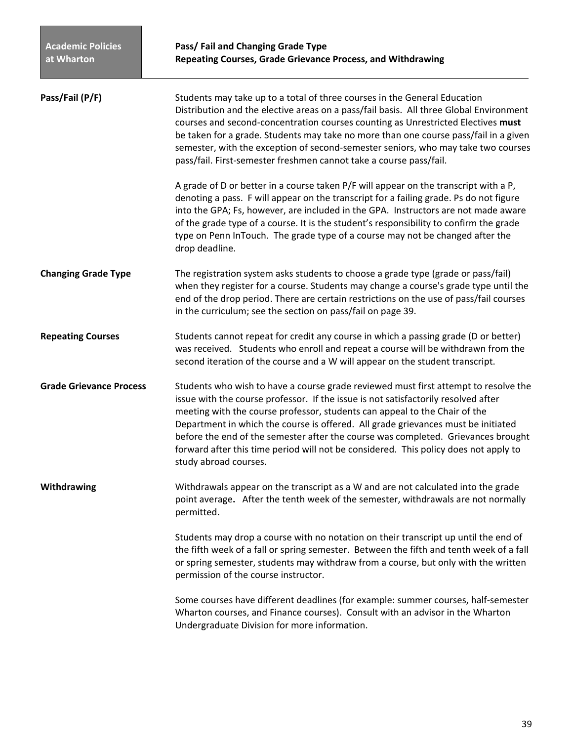| Pass/Fail (P/F)                | Students may take up to a total of three courses in the General Education<br>Distribution and the elective areas on a pass/fail basis. All three Global Environment<br>courses and second-concentration courses counting as Unrestricted Electives must<br>be taken for a grade. Students may take no more than one course pass/fail in a given<br>semester, with the exception of second-semester seniors, who may take two courses<br>pass/fail. First-semester freshmen cannot take a course pass/fail.                                         |
|--------------------------------|----------------------------------------------------------------------------------------------------------------------------------------------------------------------------------------------------------------------------------------------------------------------------------------------------------------------------------------------------------------------------------------------------------------------------------------------------------------------------------------------------------------------------------------------------|
|                                | A grade of D or better in a course taken P/F will appear on the transcript with a P,<br>denoting a pass. F will appear on the transcript for a failing grade. Ps do not figure<br>into the GPA; Fs, however, are included in the GPA. Instructors are not made aware<br>of the grade type of a course. It is the student's responsibility to confirm the grade<br>type on Penn InTouch. The grade type of a course may not be changed after the<br>drop deadline.                                                                                  |
| <b>Changing Grade Type</b>     | The registration system asks students to choose a grade type (grade or pass/fail)<br>when they register for a course. Students may change a course's grade type until the<br>end of the drop period. There are certain restrictions on the use of pass/fail courses<br>in the curriculum; see the section on pass/fail on page 39.                                                                                                                                                                                                                 |
| <b>Repeating Courses</b>       | Students cannot repeat for credit any course in which a passing grade (D or better)<br>was received. Students who enroll and repeat a course will be withdrawn from the<br>second iteration of the course and a W will appear on the student transcript.                                                                                                                                                                                                                                                                                           |
| <b>Grade Grievance Process</b> | Students who wish to have a course grade reviewed must first attempt to resolve the<br>issue with the course professor. If the issue is not satisfactorily resolved after<br>meeting with the course professor, students can appeal to the Chair of the<br>Department in which the course is offered. All grade grievances must be initiated<br>before the end of the semester after the course was completed. Grievances brought<br>forward after this time period will not be considered. This policy does not apply to<br>study abroad courses. |
| Withdrawing                    | Withdrawals appear on the transcript as a W and are not calculated into the grade<br>point average. After the tenth week of the semester, withdrawals are not normally<br>permitted.                                                                                                                                                                                                                                                                                                                                                               |
|                                | Students may drop a course with no notation on their transcript up until the end of<br>the fifth week of a fall or spring semester. Between the fifth and tenth week of a fall<br>or spring semester, students may withdraw from a course, but only with the written<br>permission of the course instructor.                                                                                                                                                                                                                                       |
|                                | Some courses have different deadlines (for example: summer courses, half-semester<br>Wharton courses, and Finance courses). Consult with an advisor in the Wharton<br>Undergraduate Division for more information.                                                                                                                                                                                                                                                                                                                                 |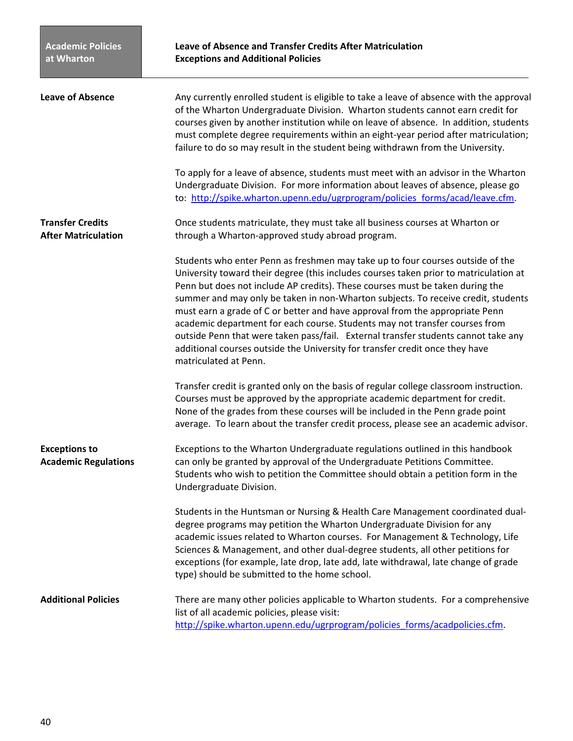| <b>Leave of Absence</b>                               | Any currently enrolled student is eligible to take a leave of absence with the approval<br>of the Wharton Undergraduate Division. Wharton students cannot earn credit for<br>courses given by another institution while on leave of absence. In addition, students<br>must complete degree requirements within an eight-year period after matriculation;<br>failure to do so may result in the student being withdrawn from the University.                                                                                                                                                                                                                                                                 |
|-------------------------------------------------------|-------------------------------------------------------------------------------------------------------------------------------------------------------------------------------------------------------------------------------------------------------------------------------------------------------------------------------------------------------------------------------------------------------------------------------------------------------------------------------------------------------------------------------------------------------------------------------------------------------------------------------------------------------------------------------------------------------------|
|                                                       | To apply for a leave of absence, students must meet with an advisor in the Wharton<br>Undergraduate Division. For more information about leaves of absence, please go<br>to: http://spike.wharton.upenn.edu/ugrprogram/policies forms/acad/leave.cfm.                                                                                                                                                                                                                                                                                                                                                                                                                                                       |
| <b>Transfer Credits</b><br><b>After Matriculation</b> | Once students matriculate, they must take all business courses at Wharton or<br>through a Wharton-approved study abroad program.                                                                                                                                                                                                                                                                                                                                                                                                                                                                                                                                                                            |
|                                                       | Students who enter Penn as freshmen may take up to four courses outside of the<br>University toward their degree (this includes courses taken prior to matriculation at<br>Penn but does not include AP credits). These courses must be taken during the<br>summer and may only be taken in non-Wharton subjects. To receive credit, students<br>must earn a grade of C or better and have approval from the appropriate Penn<br>academic department for each course. Students may not transfer courses from<br>outside Penn that were taken pass/fail. External transfer students cannot take any<br>additional courses outside the University for transfer credit once they have<br>matriculated at Penn. |
|                                                       | Transfer credit is granted only on the basis of regular college classroom instruction.<br>Courses must be approved by the appropriate academic department for credit.<br>None of the grades from these courses will be included in the Penn grade point<br>average. To learn about the transfer credit process, please see an academic advisor.                                                                                                                                                                                                                                                                                                                                                             |
| <b>Exceptions to</b><br><b>Academic Regulations</b>   | Exceptions to the Wharton Undergraduate regulations outlined in this handbook<br>can only be granted by approval of the Undergraduate Petitions Committee.<br>Students who wish to petition the Committee should obtain a petition form in the<br>Undergraduate Division.                                                                                                                                                                                                                                                                                                                                                                                                                                   |
|                                                       | Students in the Huntsman or Nursing & Health Care Management coordinated dual-<br>degree programs may petition the Wharton Undergraduate Division for any<br>academic issues related to Wharton courses. For Management & Technology, Life<br>Sciences & Management, and other dual-degree students, all other petitions for<br>exceptions (for example, late drop, late add, late withdrawal, late change of grade<br>type) should be submitted to the home school.                                                                                                                                                                                                                                        |
| <b>Additional Policies</b>                            | There are many other policies applicable to Wharton students. For a comprehensive<br>list of all academic policies, please visit:<br>http://spike.wharton.upenn.edu/ugrprogram/policies forms/acadpolicies.cfm.                                                                                                                                                                                                                                                                                                                                                                                                                                                                                             |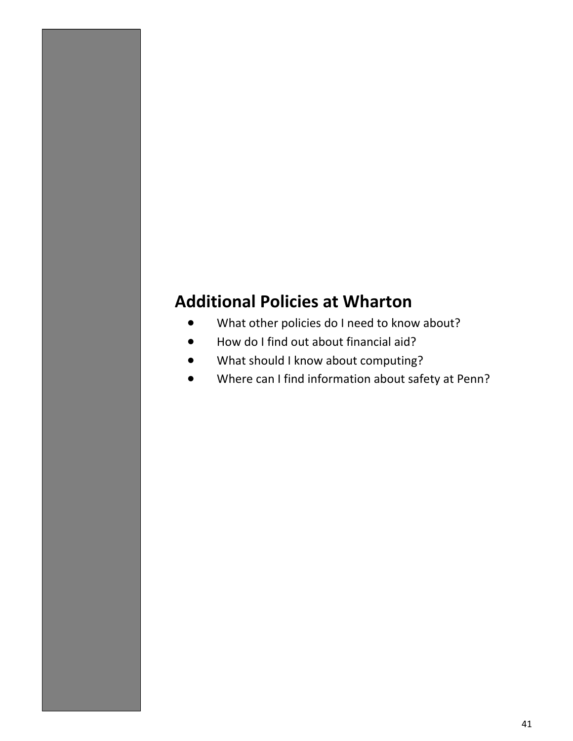# **Additional Policies at Wharton**

- What other policies do I need to know about?
- How do I find out about financial aid?
- What should I know about computing?
- Where can I find information about safety at Penn?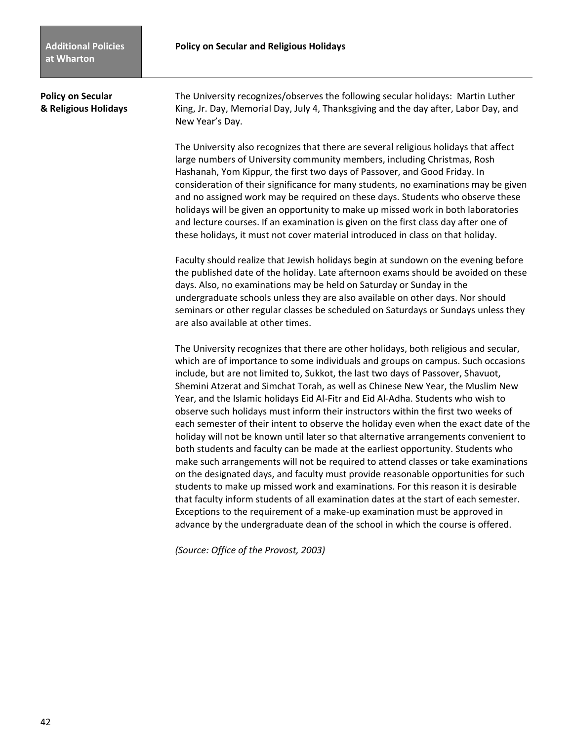**Policy on Secular**  The University recognizes/observes the following secular holidays: Martin Luther **& Religious Holidays** King, Jr. Day, Memorial Day, July 4, Thanksgiving and the day after, Labor Day, and New Year's Day.

> The University also recognizes that there are several religious holidays that affect large numbers of University community members, including Christmas, Rosh Hashanah, Yom Kippur, the first two days of Passover, and Good Friday. In consideration of their significance for many students, no examinations may be given and no assigned work may be required on these days. Students who observe these holidays will be given an opportunity to make up missed work in both laboratories and lecture courses. If an examination is given on the first class day after one of these holidays, it must not cover material introduced in class on that holiday.

> Faculty should realize that Jewish holidays begin at sundown on the evening before the published date of the holiday. Late afternoon exams should be avoided on these days. Also, no examinations may be held on Saturday or Sunday in the undergraduate schools unless they are also available on other days. Nor should seminars or other regular classes be scheduled on Saturdays or Sundays unless they are also available at other times.

> The University recognizes that there are other holidays, both religious and secular, which are of importance to some individuals and groups on campus. Such occasions include, but are not limited to, Sukkot, the last two days of Passover, Shavuot, Shemini Atzerat and Simchat Torah, as well as Chinese New Year, the Muslim New Year, and the Islamic holidays Eid Al‐Fitr and Eid Al‐Adha. Students who wish to observe such holidays must inform their instructors within the first two weeks of each semester of their intent to observe the holiday even when the exact date of the holiday will not be known until later so that alternative arrangements convenient to both students and faculty can be made at the earliest opportunity. Students who make such arrangements will not be required to attend classes or take examinations on the designated days, and faculty must provide reasonable opportunities for such students to make up missed work and examinations. For this reason it is desirable that faculty inform students of all examination dates at the start of each semester. Exceptions to the requirement of a make‐up examination must be approved in advance by the undergraduate dean of the school in which the course is offered.

*(Source: Office of the Provost, 2003)*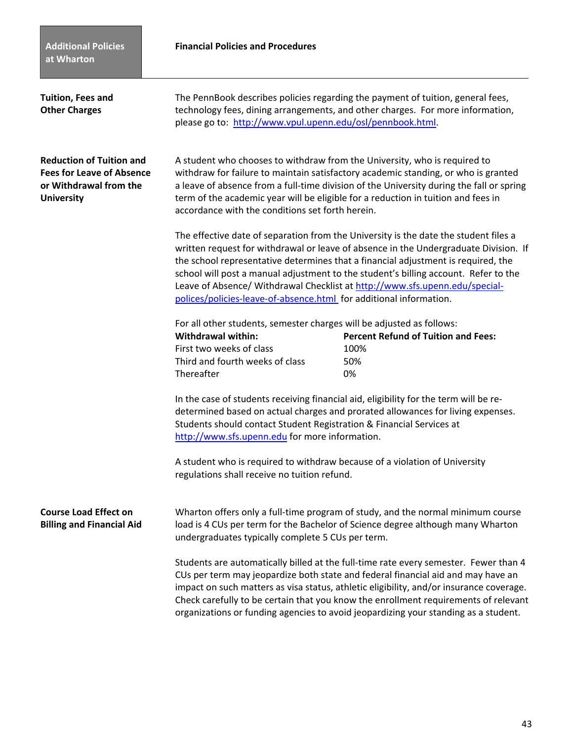## **Financial Policies and Procedures**

| Tuition, Fees and<br><b>Other Charges</b>                                                                          | please go to: http://www.vpul.upenn.edu/osl/pennbook.html.                                                                                                                                                                                                                                                                                                                                                                                                                                                    | The PennBook describes policies regarding the payment of tuition, general fees,<br>technology fees, dining arrangements, and other charges. For more information,                                                                                                                                                                                                                                                                                 |
|--------------------------------------------------------------------------------------------------------------------|---------------------------------------------------------------------------------------------------------------------------------------------------------------------------------------------------------------------------------------------------------------------------------------------------------------------------------------------------------------------------------------------------------------------------------------------------------------------------------------------------------------|---------------------------------------------------------------------------------------------------------------------------------------------------------------------------------------------------------------------------------------------------------------------------------------------------------------------------------------------------------------------------------------------------------------------------------------------------|
| <b>Reduction of Tuition and</b><br><b>Fees for Leave of Absence</b><br>or Withdrawal from the<br><b>University</b> | A student who chooses to withdraw from the University, who is required to<br>withdraw for failure to maintain satisfactory academic standing, or who is granted<br>a leave of absence from a full-time division of the University during the fall or spring<br>term of the academic year will be eligible for a reduction in tuition and fees in<br>accordance with the conditions set forth herein.                                                                                                          |                                                                                                                                                                                                                                                                                                                                                                                                                                                   |
|                                                                                                                    | The effective date of separation from the University is the date the student files a<br>written request for withdrawal or leave of absence in the Undergraduate Division. If<br>the school representative determines that a financial adjustment is required, the<br>school will post a manual adjustment to the student's billing account. Refer to the<br>Leave of Absence/ Withdrawal Checklist at http://www.sfs.upenn.edu/special-<br>polices/policies-leave-of-absence.html for additional information. |                                                                                                                                                                                                                                                                                                                                                                                                                                                   |
|                                                                                                                    | For all other students, semester charges will be adjusted as follows:<br><b>Withdrawal within:</b><br>First two weeks of class<br>Third and fourth weeks of class<br>Thereafter                                                                                                                                                                                                                                                                                                                               | <b>Percent Refund of Tuition and Fees:</b><br>100%<br>50%<br>0%                                                                                                                                                                                                                                                                                                                                                                                   |
|                                                                                                                    | Students should contact Student Registration & Financial Services at<br>http://www.sfs.upenn.edu for more information.                                                                                                                                                                                                                                                                                                                                                                                        | In the case of students receiving financial aid, eligibility for the term will be re-<br>determined based on actual charges and prorated allowances for living expenses.                                                                                                                                                                                                                                                                          |
|                                                                                                                    | A student who is required to withdraw because of a violation of University<br>regulations shall receive no tuition refund.                                                                                                                                                                                                                                                                                                                                                                                    |                                                                                                                                                                                                                                                                                                                                                                                                                                                   |
| <b>Course Load Effect on</b><br><b>Billing and Financial Aid</b>                                                   | undergraduates typically complete 5 CUs per term.                                                                                                                                                                                                                                                                                                                                                                                                                                                             | Wharton offers only a full-time program of study, and the normal minimum course<br>load is 4 CUs per term for the Bachelor of Science degree although many Wharton                                                                                                                                                                                                                                                                                |
|                                                                                                                    |                                                                                                                                                                                                                                                                                                                                                                                                                                                                                                               | Students are automatically billed at the full-time rate every semester. Fewer than 4<br>CUs per term may jeopardize both state and federal financial aid and may have an<br>impact on such matters as visa status, athletic eligibility, and/or insurance coverage.<br>Check carefully to be certain that you know the enrollment requirements of relevant<br>organizations or funding agencies to avoid jeopardizing your standing as a student. |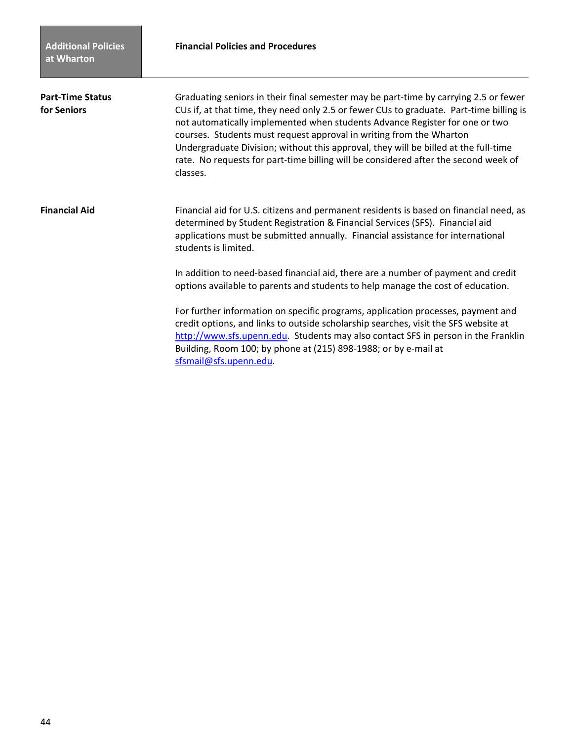| <b>Part-Time Status</b><br>for Seniors | Graduating seniors in their final semester may be part-time by carrying 2.5 or fewer<br>CUs if, at that time, they need only 2.5 or fewer CUs to graduate. Part-time billing is<br>not automatically implemented when students Advance Register for one or two<br>courses. Students must request approval in writing from the Wharton<br>Undergraduate Division; without this approval, they will be billed at the full-time<br>rate. No requests for part-time billing will be considered after the second week of<br>classes. |
|----------------------------------------|---------------------------------------------------------------------------------------------------------------------------------------------------------------------------------------------------------------------------------------------------------------------------------------------------------------------------------------------------------------------------------------------------------------------------------------------------------------------------------------------------------------------------------|
| <b>Financial Aid</b>                   | Financial aid for U.S. citizens and permanent residents is based on financial need, as<br>determined by Student Registration & Financial Services (SFS). Financial aid<br>applications must be submitted annually. Financial assistance for international<br>students is limited.                                                                                                                                                                                                                                               |
|                                        | In addition to need-based financial aid, there are a number of payment and credit<br>options available to parents and students to help manage the cost of education.                                                                                                                                                                                                                                                                                                                                                            |
|                                        | For further information on specific programs, application processes, payment and<br>credit options, and links to outside scholarship searches, visit the SFS website at<br>http://www.sfs.upenn.edu. Students may also contact SFS in person in the Franklin<br>Building, Room 100; by phone at (215) 898-1988; or by e-mail at<br>sfsmail@sfs.upenn.edu.                                                                                                                                                                       |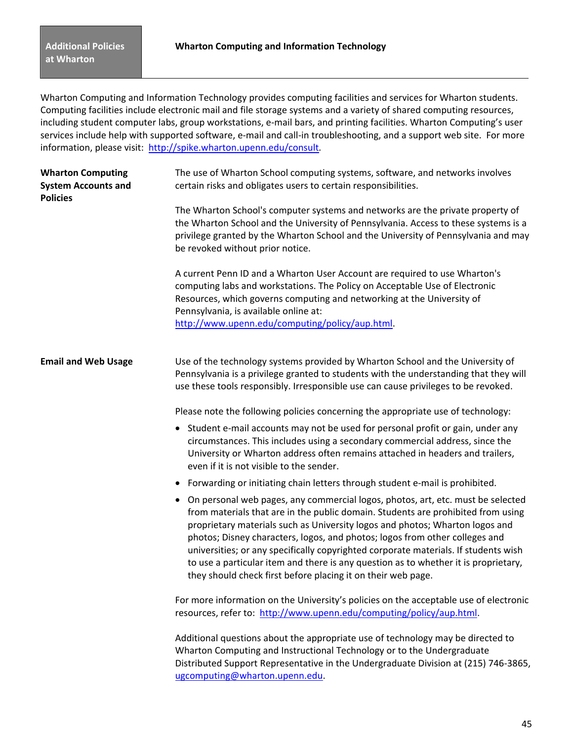Wharton Computing and Information Technology provides computing facilities and services for Wharton students. Computing facilities include electronic mail and file storage systems and a variety of shared computing resources, including student computer labs, group workstations, e‐mail bars, and printing facilities. Wharton Computing's user services include help with supported software, e-mail and call-in troubleshooting, and a support web site. For more information, please visit: http://spike.wharton.upenn.edu/consult*.*

| <b>Wharton Computing</b><br><b>System Accounts and</b><br><b>Policies</b> | The use of Wharton School computing systems, software, and networks involves<br>certain risks and obligates users to certain responsibilities.                                                                                                                                                                                                                                                                                                                                                                                                                                     |
|---------------------------------------------------------------------------|------------------------------------------------------------------------------------------------------------------------------------------------------------------------------------------------------------------------------------------------------------------------------------------------------------------------------------------------------------------------------------------------------------------------------------------------------------------------------------------------------------------------------------------------------------------------------------|
|                                                                           | The Wharton School's computer systems and networks are the private property of<br>the Wharton School and the University of Pennsylvania. Access to these systems is a<br>privilege granted by the Wharton School and the University of Pennsylvania and may<br>be revoked without prior notice.                                                                                                                                                                                                                                                                                    |
|                                                                           | A current Penn ID and a Wharton User Account are required to use Wharton's<br>computing labs and workstations. The Policy on Acceptable Use of Electronic<br>Resources, which governs computing and networking at the University of<br>Pennsylvania, is available online at:<br>http://www.upenn.edu/computing/policy/aup.html.                                                                                                                                                                                                                                                    |
| <b>Email and Web Usage</b>                                                | Use of the technology systems provided by Wharton School and the University of<br>Pennsylvania is a privilege granted to students with the understanding that they will<br>use these tools responsibly. Irresponsible use can cause privileges to be revoked.                                                                                                                                                                                                                                                                                                                      |
|                                                                           | Please note the following policies concerning the appropriate use of technology:                                                                                                                                                                                                                                                                                                                                                                                                                                                                                                   |
|                                                                           | • Student e-mail accounts may not be used for personal profit or gain, under any<br>circumstances. This includes using a secondary commercial address, since the<br>University or Wharton address often remains attached in headers and trailers,<br>even if it is not visible to the sender.                                                                                                                                                                                                                                                                                      |
|                                                                           | • Forwarding or initiating chain letters through student e-mail is prohibited.                                                                                                                                                                                                                                                                                                                                                                                                                                                                                                     |
|                                                                           | • On personal web pages, any commercial logos, photos, art, etc. must be selected<br>from materials that are in the public domain. Students are prohibited from using<br>proprietary materials such as University logos and photos; Wharton logos and<br>photos; Disney characters, logos, and photos; logos from other colleges and<br>universities; or any specifically copyrighted corporate materials. If students wish<br>to use a particular item and there is any question as to whether it is proprietary,<br>they should check first before placing it on their web page. |
|                                                                           | For more information on the University's policies on the acceptable use of electronic<br>resources, refer to: http://www.upenn.edu/computing/policy/aup.html.                                                                                                                                                                                                                                                                                                                                                                                                                      |
|                                                                           | Additional questions about the appropriate use of technology may be directed to<br>Wharton Computing and Instructional Technology or to the Undergraduate<br>Distributed Support Representative in the Undergraduate Division at (215) 746-3865,<br>ugcomputing@wharton.upenn.edu.                                                                                                                                                                                                                                                                                                 |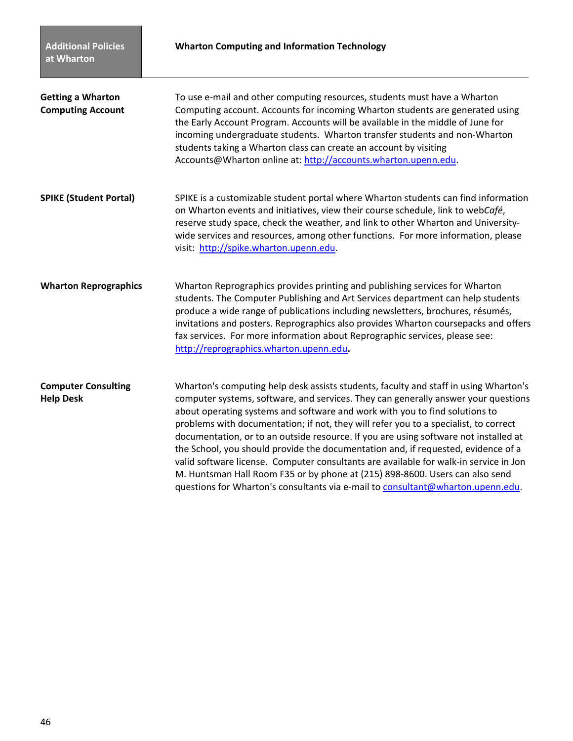| <b>Getting a Wharton</b><br><b>Computing Account</b> | To use e-mail and other computing resources, students must have a Wharton<br>Computing account. Accounts for incoming Wharton students are generated using<br>the Early Account Program. Accounts will be available in the middle of June for<br>incoming undergraduate students. Wharton transfer students and non-Wharton<br>students taking a Wharton class can create an account by visiting<br>Accounts@Wharton online at: http://accounts.wharton.upenn.edu.                                                                                                                                                                                                                                                                                                                         |
|------------------------------------------------------|--------------------------------------------------------------------------------------------------------------------------------------------------------------------------------------------------------------------------------------------------------------------------------------------------------------------------------------------------------------------------------------------------------------------------------------------------------------------------------------------------------------------------------------------------------------------------------------------------------------------------------------------------------------------------------------------------------------------------------------------------------------------------------------------|
| <b>SPIKE (Student Portal)</b>                        | SPIKE is a customizable student portal where Wharton students can find information<br>on Wharton events and initiatives, view their course schedule, link to webCafé,<br>reserve study space, check the weather, and link to other Wharton and University-<br>wide services and resources, among other functions. For more information, please<br>visit: http://spike.wharton.upenn.edu.                                                                                                                                                                                                                                                                                                                                                                                                   |
| <b>Wharton Reprographics</b>                         | Wharton Reprographics provides printing and publishing services for Wharton<br>students. The Computer Publishing and Art Services department can help students<br>produce a wide range of publications including newsletters, brochures, résumés,<br>invitations and posters. Reprographics also provides Wharton coursepacks and offers<br>fax services. For more information about Reprographic services, please see:<br>http://reprographics.wharton.upenn.edu.                                                                                                                                                                                                                                                                                                                         |
| <b>Computer Consulting</b><br><b>Help Desk</b>       | Wharton's computing help desk assists students, faculty and staff in using Wharton's<br>computer systems, software, and services. They can generally answer your questions<br>about operating systems and software and work with you to find solutions to<br>problems with documentation; if not, they will refer you to a specialist, to correct<br>documentation, or to an outside resource. If you are using software not installed at<br>the School, you should provide the documentation and, if requested, evidence of a<br>valid software license. Computer consultants are available for walk-in service in Jon<br>M. Huntsman Hall Room F35 or by phone at (215) 898-8600. Users can also send<br>questions for Wharton's consultants via e-mail to consultant@wharton.upenn.edu. |